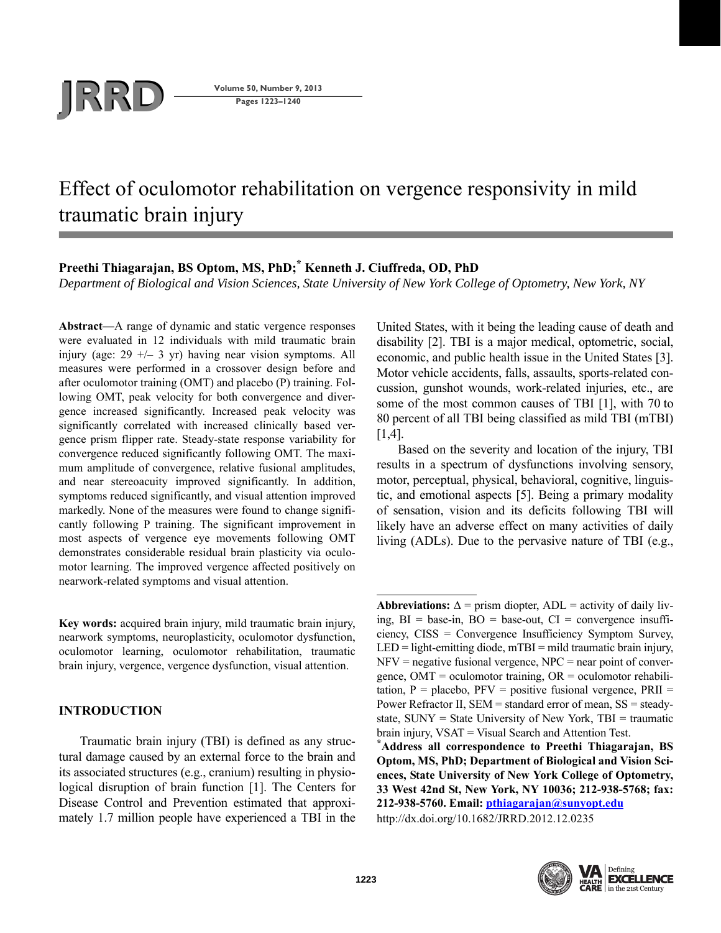# **JRRD Volume 50, Number 9, 2013**<br>Pages 1223-1240

**Pages 1223–1240**

## Effect of oculomotor rehabilitation on vergence responsivity in mild traumatic brain injury

## **Preethi Thiagarajan, BS Optom, MS, PhD;\* Kenneth J. Ciuffreda, OD, PhD**

*Department of Biological and Vision Sciences, State University of New York College of Optometry, New York, NY*

**Abstract—**A range of dynamic and static vergence responses were evaluated in 12 individuals with mild traumatic brain injury (age:  $29 \div - 3$  yr) having near vision symptoms. All measures were performed in a crossover design before and after oculomotor training (OMT) and placebo (P) training. Following OMT, peak velocity for both convergence and divergence increased significantly. Increased peak velocity was significantly correlated with increased clinically based vergence prism flipper rate. Steady-state response variability for convergence reduced significantly following OMT. The maximum amplitude of convergence, relative fusional amplitudes, and near stereoacuity improved significantly. In addition, symptoms reduced significantly, and visual attention improved markedly. None of the measures were found to change significantly following P training. The significant improvement in most aspects of vergence eye movements following OMT demonstrates considerable residual brain plasticity via oculomotor learning. The improved vergence affected positively on nearwork-related symptoms and visual attention.

**Key words:** acquired brain injury, mild traumatic brain injury, nearwork symptoms, neuroplasticity, oculomotor dysfunction, oculomotor learning, oculomotor rehabilitation, traumatic brain injury, vergence, vergence dysfunction, visual attention.

## **INTRODUCTION**

Traumatic brain injury (TBI) is defined as any structural damage caused by an external force to the brain and its associated structures (e.g., cranium) resulting in physiological disruption of brain function [1]. The Centers for Disease Control and Prevention estimated that approximately 1.7 million people have experienced a TBI in the

United States, with it being the leading cause of death and disability [2]. TBI is a major medical, optometric, social, economic, and public health issue in the United States [3]. Motor vehicle accidents, falls, assaults, sports-related concussion, gunshot wounds, work-related injuries, etc., are some of the most common causes of TBI [1], with 70 to 80 percent of all TBI being classified as mild TBI (mTBI) [1,4].

Based on the severity and location of the injury, TBI results in a spectrum of dysfunctions involving sensory, motor, perceptual, physical, behavioral, cognitive, linguistic, and emotional aspects [5]. Being a primary modality of sensation, vision and its deficits following TBI will likely have an adverse effect on many activities of daily living (ADLs). Due to the pervasive nature of TBI (e.g.,

**<sup>\*</sup> Address all correspondence to Preethi Thiagarajan, BS Optom, MS, PhD; Department of Biological and Vision Sciences, State University of New York College of Optometry, 33 West 42nd St, New York, NY 10036; 212-938-5768; fax: 212-938-5760. Email: [pthiagarajan@sunyopt.edu](mailto:pthiagarajan@sunyopt.edu)** http://dx.doi.org/10.1682/JRRD.2012.12.0235



**Abbreviations:**  $\Delta$  = prism diopter, ADL = activity of daily living,  $BI = base-in$ ,  $BO = base-out$ ,  $CI = convergence$  insufficiency, CISS = Convergence Insufficiency Symptom Survey,  $LED = light-emitting diode, mTBI = mild tramatic brain injury,$  $NFV$  = negative fusional vergence,  $NPC$  = near point of convergence,  $OMT = \alpha$  coulomotor training,  $OR = \alpha$  coulomotor rehabilitation,  $P =$  placebo,  $PFV =$  positive fusional vergence,  $PRII =$ Power Refractor II, SEM = standard error of mean, SS = steadystate,  $SUNY = State University of New York, TBI = traumatic$ brain injury, VSAT = Visual Search and Attention Test.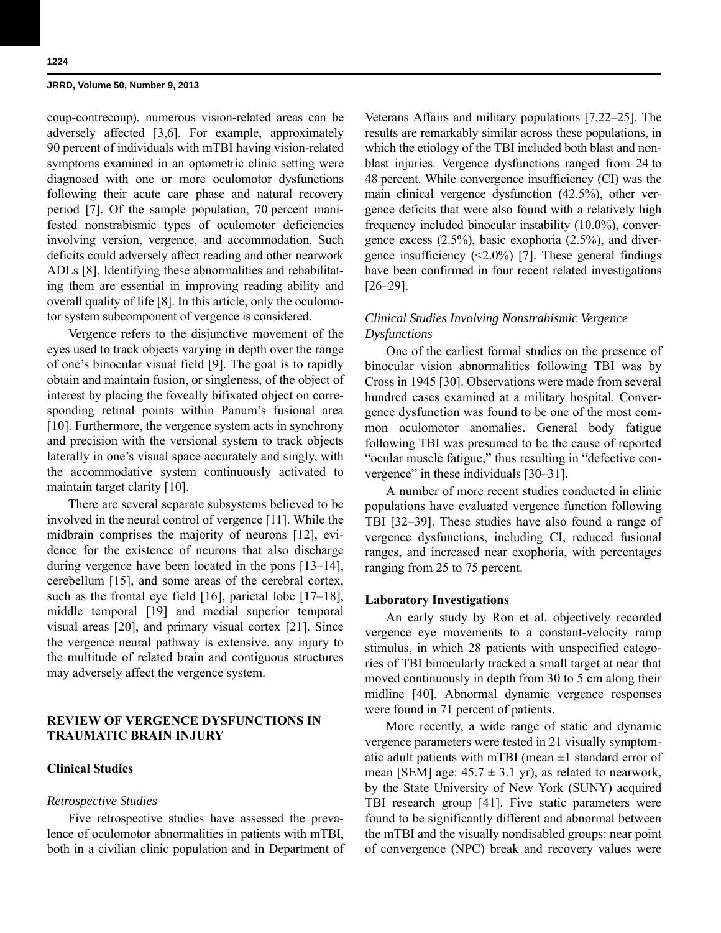coup-contrecoup), numerous vision-related areas can be adversely affected [3,6]. For example, approximately 90 percent of individuals with mTBI having vision-related symptoms examined in an optometric clinic setting were diagnosed with one or more oculomotor dysfunctions following their acute care phase and natural recovery period [7]. Of the sample population, 70 percent manifested nonstrabismic types of oculomotor deficiencies involving version, vergence, and accommodation. Such deficits could adversely affect reading and other nearwork ADLs [8]. Identifying these abnormalities and rehabilitating them are essential in improving reading ability and overall quality of life [8]. In this article, only the oculomotor system subcomponent of vergence is considered.

Vergence refers to the disjunctive movement of the eyes used to track objects varying in depth over the range of one's binocular visual field [9]. The goal is to rapidly obtain and maintain fusion, or singleness, of the object of interest by placing the foveally bifixated object on corresponding retinal points within Panum's fusional area [10]. Furthermore, the vergence system acts in synchrony and precision with the versional system to track objects laterally in one's visual space accurately and singly, with the accommodative system continuously activated to maintain target clarity [10].

There are several separate subsystems believed to be involved in the neural control of vergence [11]. While the midbrain comprises the majority of neurons [12], evidence for the existence of neurons that also discharge during vergence have been located in the pons [13–14], cerebellum [15], and some areas of the cerebral cortex, such as the frontal eye field [16], parietal lobe [17–18], middle temporal [19] and medial superior temporal visual areas [20], and primary visual cortex [21]. Since the vergence neural pathway is extensive, any injury to the multitude of related brain and contiguous structures may adversely affect the vergence system.

## **REVIEW OF VERGENCE DYSFUNCTIONS IN TRAUMATIC BRAIN INJURY**

## **Clinical Studies**

#### *Retrospective Studies*

Five retrospective studies have assessed the prevalence of oculomotor abnormalities in patients with mTBI, both in a civilian clinic population and in Department of Veterans Affairs and military populations [7,22–25]. The results are remarkably similar across these populations, in which the etiology of the TBI included both blast and nonblast injuries. Vergence dysfunctions ranged from 24 to 48 percent. While convergence insufficiency (CI) was the main clinical vergence dysfunction (42.5%), other vergence deficits that were also found with a relatively high frequency included binocular instability (10.0%), convergence excess (2.5%), basic exophoria (2.5%), and divergence insufficiency  $(\leq 2.0\%)$  [7]. These general findings have been confirmed in four recent related investigations [26–29].

## *Clinical Studies Involving Nonstrabismic Vergence Dysfunctions*

One of the earliest formal studies on the presence of binocular vision abnormalities following TBI was by Cross in 1945 [30]. Observations were made from several hundred cases examined at a military hospital. Convergence dysfunction was found to be one of the most common oculomotor anomalies. General body fatigue following TBI was presumed to be the cause of reported "ocular muscle fatigue," thus resulting in "defective convergence" in these individuals [30–31].

A number of more recent studies conducted in clinic populations have evaluated vergence function following TBI [32–39]. These studies have also found a range of vergence dysfunctions, including CI, reduced fusional ranges, and increased near exophoria, with percentages ranging from 25 to 75 percent.

#### **Laboratory Investigations**

An early study by Ron et al. objectively recorded vergence eye movements to a constant-velocity ramp stimulus, in which 28 patients with unspecified categories of TBI binocularly tracked a small target at near that moved continuously in depth from 30 to 5 cm along their midline [40]. Abnormal dynamic vergence responses were found in 71 percent of patients.

More recently, a wide range of static and dynamic vergence parameters were tested in 21 visually symptomatic adult patients with mTBI (mean  $\pm 1$  standard error of mean [SEM] age:  $45.7 \pm 3.1$  yr), as related to nearwork, by the State University of New York (SUNY) acquired TBI research group [41]. Five static parameters were found to be significantly different and abnormal between the mTBI and the visually nondisabled groups: near point of convergence (NPC) break and recovery values were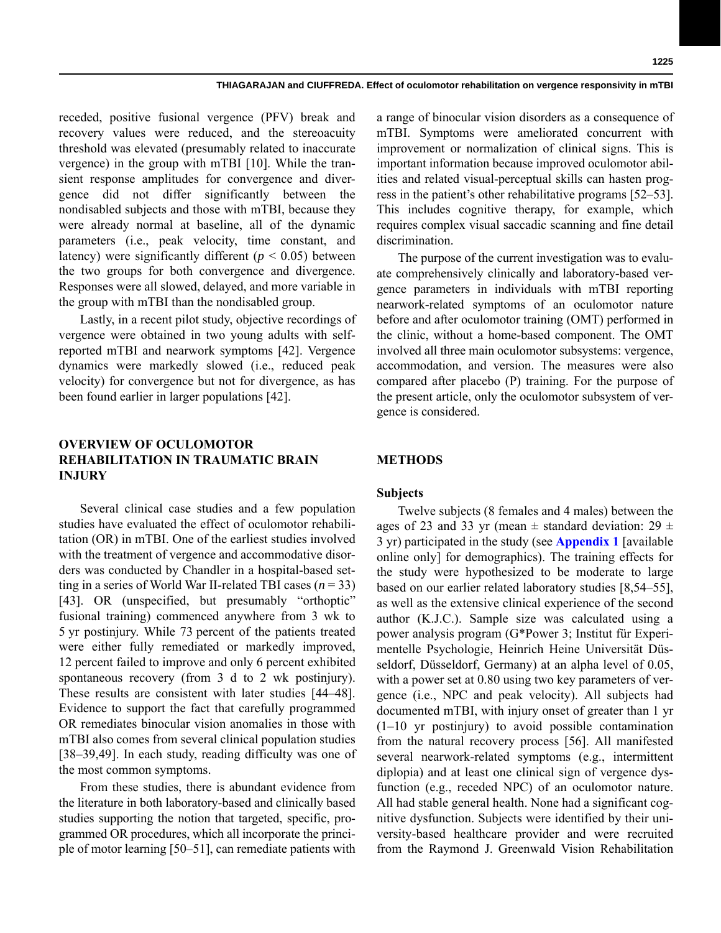receded, positive fusional vergence (PFV) break and recovery values were reduced, and the stereoacuity threshold was elevated (presumably related to inaccurate vergence) in the group with mTBI [10]. While the transient response amplitudes for convergence and divergence did not differ significantly between the nondisabled subjects and those with mTBI, because they were already normal at baseline, all of the dynamic parameters (i.e., peak velocity, time constant, and latency) were significantly different ( $p < 0.05$ ) between the two groups for both convergence and divergence. Responses were all slowed, delayed, and more variable in the group with mTBI than the nondisabled group.

Lastly, in a recent pilot study, objective recordings of vergence were obtained in two young adults with selfreported mTBI and nearwork symptoms [42]. Vergence dynamics were markedly slowed (i.e., reduced peak velocity) for convergence but not for divergence, as has been found earlier in larger populations [42].

## **OVERVIEW OF OCULOMOTOR REHABILITATION IN TRAUMATIC BRAIN INJURY**

Several clinical case studies and a few population studies have evaluated the effect of oculomotor rehabilitation (OR) in mTBI. One of the earliest studies involved with the treatment of vergence and accommodative disorders was conducted by Chandler in a hospital-based setting in a series of World War II-related TBI cases  $(n = 33)$ [43]. OR (unspecified, but presumably "orthoptic" fusional training) commenced anywhere from 3 wk to 5 yr postinjury. While 73 percent of the patients treated were either fully remediated or markedly improved, 12 percent failed to improve and only 6 percent exhibited spontaneous recovery (from 3 d to 2 wk postinjury). These results are consistent with later studies [44–48]. Evidence to support the fact that carefully programmed OR remediates binocular vision anomalies in those with mTBI also comes from several clinical population studies [38–39,49]. In each study, reading difficulty was one of the most common symptoms.

From these studies, there is abundant evidence from the literature in both laboratory-based and clinically based studies supporting the notion that targeted, specific, programmed OR procedures, which all incorporate the principle of motor learning [50–51], can remediate patients with

a range of binocular vision disorders as a consequence of mTBI. Symptoms were ameliorated concurrent with improvement or normalization of clinical signs. This is important information because improved oculomotor abilities and related visual-perceptual skills can hasten progress in the patient's other rehabilitative programs [52–53]. This includes cognitive therapy, for example, which requires complex visual saccadic scanning and fine detail discrimination.

The purpose of the current investigation was to evaluate comprehensively clinically and laboratory-based vergence parameters in individuals with mTBI reporting nearwork-related symptoms of an oculomotor nature before and after oculomotor training (OMT) performed in the clinic, without a home-based component. The OMT involved all three main oculomotor subsystems: vergence, accommodation, and version. The measures were also compared after placebo (P) training. For the purpose of the present article, only the oculomotor subsystem of vergence is considered.

## **METHODS**

## **Subjects**

Twelve subjects (8 females and 4 males) between the ages of 23 and 33 yr (mean  $\pm$  standard deviation: 29  $\pm$ 3 yr) participated in the study (see **[Appendix 1](http://www.rehab.research.va.gov/jour/2013/509/pdf/jrrd-2012-12-0235appn.pdf)** [available online only] for demographics). The training effects for the study were hypothesized to be moderate to large based on our earlier related laboratory studies [8,54–55], as well as the extensive clinical experience of the second author (K.J.C.). Sample size was calculated using a power analysis program (G\*Power 3; Institut für Experimentelle Psychologie, Heinrich Heine Universität Düsseldorf, Düsseldorf, Germany) at an alpha level of 0.05, with a power set at 0.80 using two key parameters of vergence (i.e., NPC and peak velocity). All subjects had documented mTBI, with injury onset of greater than 1 yr (1–10 yr postinjury) to avoid possible contamination from the natural recovery process [56]. All manifested several nearwork-related symptoms (e.g., intermittent diplopia) and at least one clinical sign of vergence dysfunction (e.g., receded NPC) of an oculomotor nature. All had stable general health. None had a significant cognitive dysfunction. Subjects were identified by their university-based healthcare provider and were recruited from the Raymond J. Greenwald Vision Rehabilitation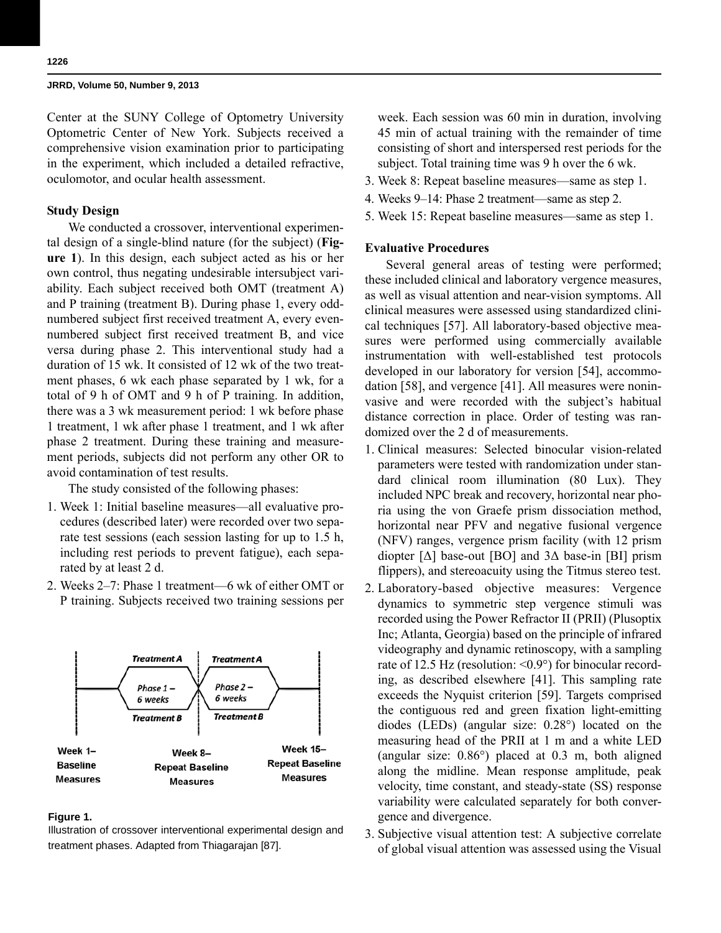Center at the SUNY College of Optometry University Optometric Center of New York. Subjects received a comprehensive vision examination prior to participating in the experiment, which included a detailed refractive, oculomotor, and ocular health assessment.

## **Study Design**

We conducted a crossover, interventional experimental design of a single-blind nature (for the subject) (**Figure 1**). In this design, each subject acted as his or her own control, thus negating undesirable intersubject variability. Each subject received both OMT (treatment A) and P training (treatment B). During phase 1, every oddnumbered subject first received treatment A, every evennumbered subject first received treatment B, and vice versa during phase 2. This interventional study had a duration of 15 wk. It consisted of 12 wk of the two treatment phases, 6 wk each phase separated by 1 wk, for a total of 9 h of OMT and 9 h of P training. In addition, there was a 3 wk measurement period: 1 wk before phase 1 treatment, 1 wk after phase 1 treatment, and 1 wk after phase 2 treatment. During these training and measurement periods, subjects did not perform any other OR to avoid contamination of test results.

The study consisted of the following phases:

- 1. Week 1: Initial baseline measures—all evaluative procedures (described later) were recorded over two separate test sessions (each session lasting for up to 1.5 h, including rest periods to prevent fatigue), each separated by at least 2 d.
- 2. Weeks 2–7: Phase 1 treatment—6 wk of either OMT or P training. Subjects received two training sessions per



#### **Figure 1.**

Illustration of crossover interventional experimental design and treatment phases. Adapted from Thiagarajan [87].

week. Each session was 60 min in duration, involving 45 min of actual training with the remainder of time consisting of short and interspersed rest periods for the subject. Total training time was 9 h over the 6 wk.

- 3. Week 8: Repeat baseline measures—same as step 1.
- 4. Weeks 9–14: Phase 2 treatment—same as step 2.
- 5. Week 15: Repeat baseline measures—same as step 1.

#### **Evaluative Procedures**

Several general areas of testing were performed; these included clinical and laboratory vergence measures, as well as visual attention and near-vision symptoms. All clinical measures were assessed using standardized clinical techniques [57]. All laboratory-based objective measures were performed using commercially available instrumentation with well-established test protocols developed in our laboratory for version [54], accommodation [58], and vergence [41]. All measures were noninvasive and were recorded with the subject's habitual distance correction in place. Order of testing was randomized over the 2 d of measurements.

- 1. Clinical measures: Selected binocular vision-related parameters were tested with randomization under standard clinical room illumination (80 Lux). They included NPC break and recovery, horizontal near phoria using the von Graefe prism dissociation method, horizontal near PFV and negative fusional vergence (NFV) ranges, vergence prism facility (with 12 prism diopter  $[\Delta]$  base-out  $[BO]$  and  $3\Delta$  base-in  $[BI]$  prism flippers), and stereoacuity using the Titmus stereo test.
- 2. Laboratory-based objective measures: Vergence dynamics to symmetric step vergence stimuli was recorded using the Power Refractor II (PRII) (Plusoptix Inc; Atlanta, Georgia) based on the principle of infrared videography and dynamic retinoscopy, with a sampling rate of 12.5 Hz (resolution: <0.9°) for binocular recording, as described elsewhere [41]. This sampling rate exceeds the Nyquist criterion [59]. Targets comprised the contiguous red and green fixation light-emitting diodes (LEDs) (angular size:  $0.28^\circ$ ) located on the measuring head of the PRII at 1 m and a white LED (angular size:  $0.86^\circ$ ) placed at  $0.3$  m, both aligned along the midline. Mean response amplitude, peak velocity, time constant, and steady-state (SS) response variability were calculated separately for both convergence and divergence.
- 3. Subjective visual attention test: A subjective correlate of global visual attention was assessed using the Visual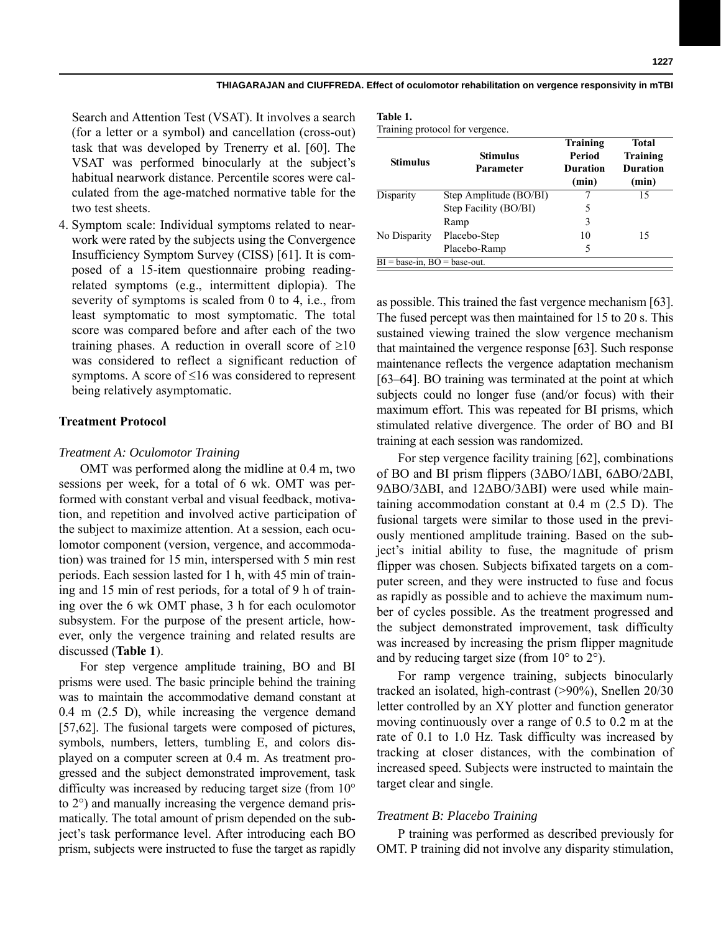Search and Attention Test (VSAT). It involves a search (for a letter or a symbol) and cancellation (cross-out) task that was developed by Trenerry et al. [60]. The VSAT was performed binocularly at the subject's habitual nearwork distance. Percentile scores were calculated from the age-matched normative table for the two test sheets.

4. Symptom scale: Individual symptoms related to nearwork were rated by the subjects using the Convergence Insufficiency Symptom Survey (CISS) [61]. It is composed of a 15-item questionnaire probing readingrelated symptoms (e.g., intermittent diplopia). The severity of symptoms is scaled from 0 to 4, i.e., from least symptomatic to most symptomatic. The total score was compared before and after each of the two training phases. A reduction in overall score of  $\geq 10$ was considered to reflect a significant reduction of symptoms. A score of  $\leq 16$  was considered to represent being relatively asymptomatic.

## **Treatment Protocol**

#### *Treatment A: Oculomotor Training*

OMT was performed along the midline at 0.4 m, two sessions per week, for a total of 6 wk. OMT was performed with constant verbal and visual feedback, motivation, and repetition and involved active participation of the subject to maximize attention. At a session, each oculomotor component (version, vergence, and accommodation) was trained for 15 min, interspersed with 5 min rest periods. Each session lasted for 1 h, with 45 min of training and 15 min of rest periods, for a total of 9 h of training over the 6 wk OMT phase, 3 h for each oculomotor subsystem. For the purpose of the present article, however, only the vergence training and related results are discussed (**Table 1**).

For step vergence amplitude training, BO and BI prisms were used. The basic principle behind the training was to maintain the accommodative demand constant at 0.4 m (2.5 D), while increasing the vergence demand [57,62]. The fusional targets were composed of pictures, symbols, numbers, letters, tumbling E, and colors displayed on a computer screen at 0.4 m. As treatment progressed and the subject demonstrated improvement, task difficulty was increased by reducing target size (from 10 $\degree$ ) to  $2^{\circ}$ ) and manually increasing the vergence demand prismatically. The total amount of prism depended on the subject's task performance level. After introducing each BO prism, subjects were instructed to fuse the target as rapidly

|  |  | anı | г |  |
|--|--|-----|---|--|
|--|--|-----|---|--|

Training protocol for vergence.

| <b>Stimulus</b>                    | <b>Stimulus</b><br><b>Parameter</b> | <b>Training</b><br>Period<br><b>Duration</b><br>(min) | <b>Total</b><br>Training<br><b>Duration</b><br>(min) |
|------------------------------------|-------------------------------------|-------------------------------------------------------|------------------------------------------------------|
| Disparity                          | Step Amplitude (BO/BI)              |                                                       | 15                                                   |
|                                    | Step Facility (BO/BI)               | 5                                                     |                                                      |
|                                    | Ramp                                | 3                                                     |                                                      |
| No Disparity                       | Placebo-Step                        | 10                                                    | 15                                                   |
|                                    | Placebo-Ramp                        | 5                                                     |                                                      |
| $BI = base-in$ , $BO = base-out$ . |                                     |                                                       |                                                      |

as possible. This trained the fast vergence mechanism [63]. The fused percept was then maintained for 15 to 20 s. This sustained viewing trained the slow vergence mechanism that maintained the vergence response [63]. Such response maintenance reflects the vergence adaptation mechanism [63–64]. BO training was terminated at the point at which subjects could no longer fuse (and/or focus) with their maximum effort. This was repeated for BI prisms, which stimulated relative divergence. The order of BO and BI training at each session was randomized.

For step vergence facility training [62], combinations of BO and BI prism flippers (3ΔBO/1ΔBI, 6ΔBO/2ΔBI, 9ΔBO/3ΔBI, and 12ΔBO/3ΔBI) were used while maintaining accommodation constant at 0.4 m (2.5 D). The fusional targets were similar to those used in the previously mentioned amplitude training. Based on the subject's initial ability to fuse, the magnitude of prism flipper was chosen. Subjects bifixated targets on a computer screen, and they were instructed to fuse and focus as rapidly as possible and to achieve the maximum number of cycles possible. As the treatment progressed and the subject demonstrated improvement, task difficulty was increased by increasing the prism flipper magnitude and by reducing target size (from  $10^{\circ}$  to  $2^{\circ}$ ).

For ramp vergence training, subjects binocularly tracked an isolated, high-contrast (>90%), Snellen 20/30 letter controlled by an XY plotter and function generator moving continuously over a range of 0.5 to 0.2 m at the rate of 0.1 to 1.0 Hz. Task difficulty was increased by tracking at closer distances, with the combination of increased speed. Subjects were instructed to maintain the target clear and single.

### *Treatment B: Placebo Training*

P training was performed as described previously for OMT. P training did not involve any disparity stimulation,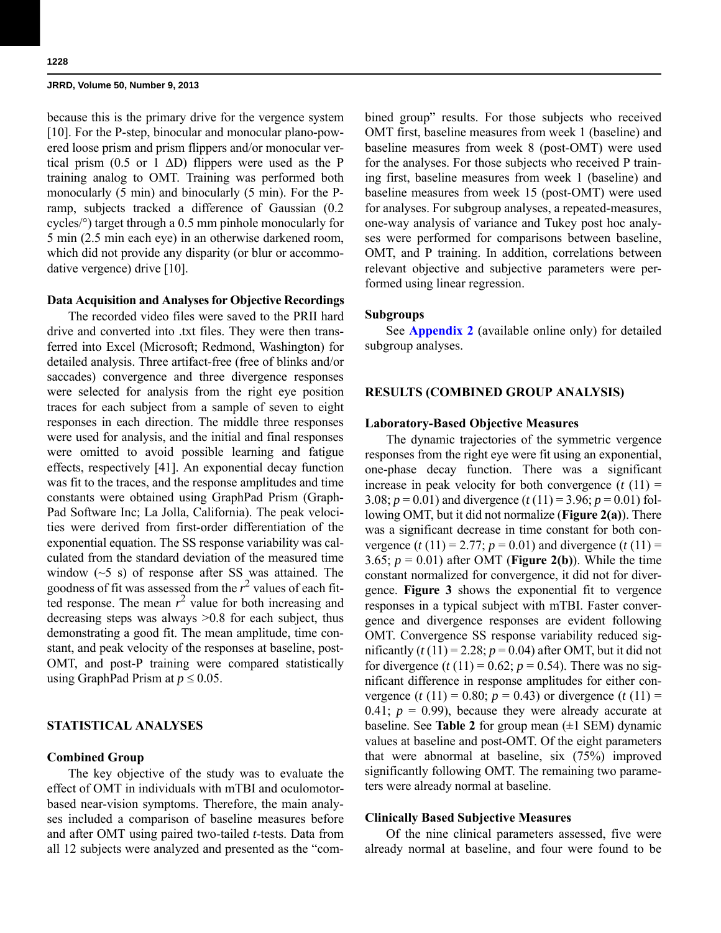because this is the primary drive for the vergence system [10]. For the P-step, binocular and monocular plano-powered loose prism and prism flippers and/or monocular vertical prism  $(0.5 \text{ or } 1 \Delta D)$  flippers were used as the P training analog to OMT. Training was performed both monocularly (5 min) and binocularly (5 min). For the Pramp, subjects tracked a difference of Gaussian (0.2 cycles<sup> $\circ$ </sup>) target through a 0.5 mm pinhole monocularly for 5 min (2.5 min each eye) in an otherwise darkened room, which did not provide any disparity (or blur or accommodative vergence) drive [10].

## **Data Acquisition and Analyses for Objective Recordings**

The recorded video files were saved to the PRII hard drive and converted into .txt files. They were then transferred into Excel (Microsoft; Redmond, Washington) for detailed analysis. Three artifact-free (free of blinks and/or saccades) convergence and three divergence responses were selected for analysis from the right eye position traces for each subject from a sample of seven to eight responses in each direction. The middle three responses were used for analysis, and the initial and final responses were omitted to avoid possible learning and fatigue effects, respectively [41]. An exponential decay function was fit to the traces, and the response amplitudes and time constants were obtained using GraphPad Prism (Graph-Pad Software Inc; La Jolla, California). The peak velocities were derived from first-order differentiation of the exponential equation. The SS response variability was calculated from the standard deviation of the measured time window  $(-5 \text{ s})$  of response after SS was attained. The goodness of fit was assessed from the *r* <sup>2</sup> values of each fitted response. The mean  $r^2$  value for both increasing and decreasing steps was always >0.8 for each subject, thus demonstrating a good fit. The mean amplitude, time constant, and peak velocity of the responses at baseline, post-OMT, and post-P training were compared statistically using GraphPad Prism at  $p \leq 0.05$ .

## **STATISTICAL ANALYSES**

### **Combined Group**

The key objective of the study was to evaluate the effect of OMT in individuals with mTBI and oculomotorbased near-vision symptoms. Therefore, the main analyses included a comparison of baseline measures before and after OMT using paired two-tailed *t*-tests. Data from all 12 subjects were analyzed and presented as the "combined group" results. For those subjects who received OMT first, baseline measures from week 1 (baseline) and baseline measures from week 8 (post-OMT) were used for the analyses. For those subjects who received P training first, baseline measures from week 1 (baseline) and baseline measures from week 15 (post-OMT) were used for analyses. For subgroup analyses, a repeated-measures, one-way analysis of variance and Tukey post hoc analyses were performed for comparisons between baseline, OMT, and P training. In addition, correlations between relevant objective and subjective parameters were performed using linear regression.

## **Subgroups**

See **[Appendix 2](http://www.rehab.research.va.gov/jour/2013/509/pdf/jrrd-2012-12-0235appn.pdf)** (available online only) for detailed subgroup analyses.

## **RESULTS (COMBINED GROUP ANALYSIS)**

## **Laboratory-Based Objective Measures**

The dynamic trajectories of the symmetric vergence responses from the right eye were fit using an exponential, one-phase decay function. There was a significant increase in peak velocity for both convergence  $(t(1))$  = 3.08;  $p = 0.01$ ) and divergence  $(t(11) = 3.96; p = 0.01)$  following OMT, but it did not normalize (**Figure 2(a)**). There was a significant decrease in time constant for both convergence  $(t(11) = 2.77; p = 0.01)$  and divergence  $(t(11) =$ 3.65;  $p = 0.01$ ) after OMT (**Figure 2(b)**). While the time constant normalized for convergence, it did not for divergence. **Figure 3** shows the exponential fit to vergence responses in a typical subject with mTBI. Faster convergence and divergence responses are evident following OMT. Convergence SS response variability reduced significantly  $(t(11) = 2.28; p = 0.04)$  after OMT, but it did not for divergence  $(t(11) = 0.62; p = 0.54)$ . There was no significant difference in response amplitudes for either convergence  $(t(11) = 0.80; p = 0.43)$  or divergence  $(t(11) =$ 0.41;  $p = 0.99$ ), because they were already accurate at baseline. See **Table 2** for group mean  $(\pm 1 \text{ SEM})$  dynamic values at baseline and post-OMT. Of the eight parameters that were abnormal at baseline, six (75%) improved significantly following OMT. The remaining two parameters were already normal at baseline.

## **Clinically Based Subjective Measures**

Of the nine clinical parameters assessed, five were already normal at baseline, and four were found to be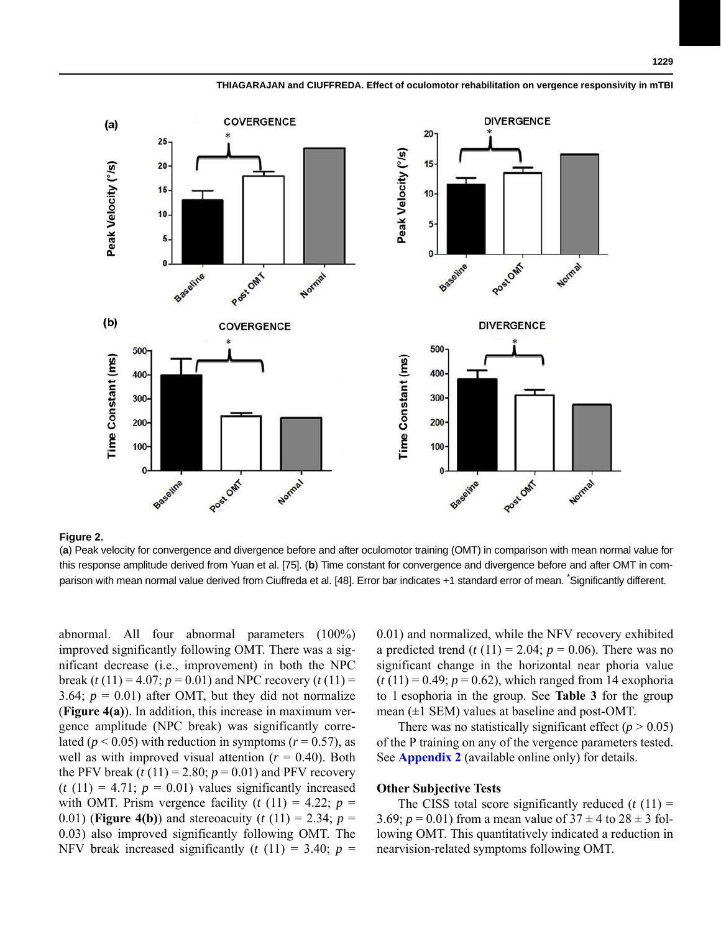

## **Figure 2.**

(**a**) Peak velocity for convergence and divergence before and after oculomotor training (OMT) in comparison with mean normal value for this response amplitude derived from Yuan et al. [75]. (**b**) Time constant for convergence and divergence before and after OMT in comparison with mean normal value derived from Ciuffreda et al. [48]. Error bar indicates +1 standard error of mean. TSignificantly different.

abnormal. All four abnormal parameters (100%) improved significantly following OMT. There was a significant decrease (i.e., improvement) in both the NPC break ( $t(11) = 4.07$ ;  $p = 0.01$ ) and NPC recovery ( $t(11) =$ 3.64;  $p = 0.01$ ) after OMT, but they did not normalize (**Figure 4(a)**). In addition, this increase in maximum vergence amplitude (NPC break) was significantly correlated ( $p < 0.05$ ) with reduction in symptoms ( $r = 0.57$ ), as well as with improved visual attention  $(r = 0.40)$ . Both the PFV break  $(t(11) = 2.80; p = 0.01)$  and PFV recovery  $(t(11) = 4.71$ ;  $p = 0.01$ ) values significantly increased with OMT. Prism vergence facility  $(t (11) = 4.22; p =$ 0.01) (**Figure 4(b)**) and stereoacuity (*t* (11) = 2.34; *p* = 0.03) also improved significantly following OMT. The NFV break increased significantly  $(t (11) = 3.40; p =$ 

0.01) and normalized, while the NFV recovery exhibited a predicted trend  $(t(11) = 2.04; p = 0.06)$ . There was no significant change in the horizontal near phoria value  $(t(11) = 0.49; p = 0.62)$ , which ranged from 14 exophoria to 1 esophoria in the group. See **Table 3** for the group mean  $(\pm 1$  SEM) values at baseline and post-OMT.

There was no statistically significant effect  $(p > 0.05)$ of the P training on any of the vergence parameters tested. See **[Appendix 2](http://www.rehab.research.va.gov/jour/2013/509/pdf/jrrd-2012-12-0235appn.pdf)** (available online only) for details.

#### **Other Subjective Tests**

The CISS total score significantly reduced  $(t(11) =$ 3.69;  $p = 0.01$ ) from a mean value of  $37 \pm 4$  to  $28 \pm 3$  following OMT. This quantitatively indicated a reduction in nearvision-related symptoms following OMT.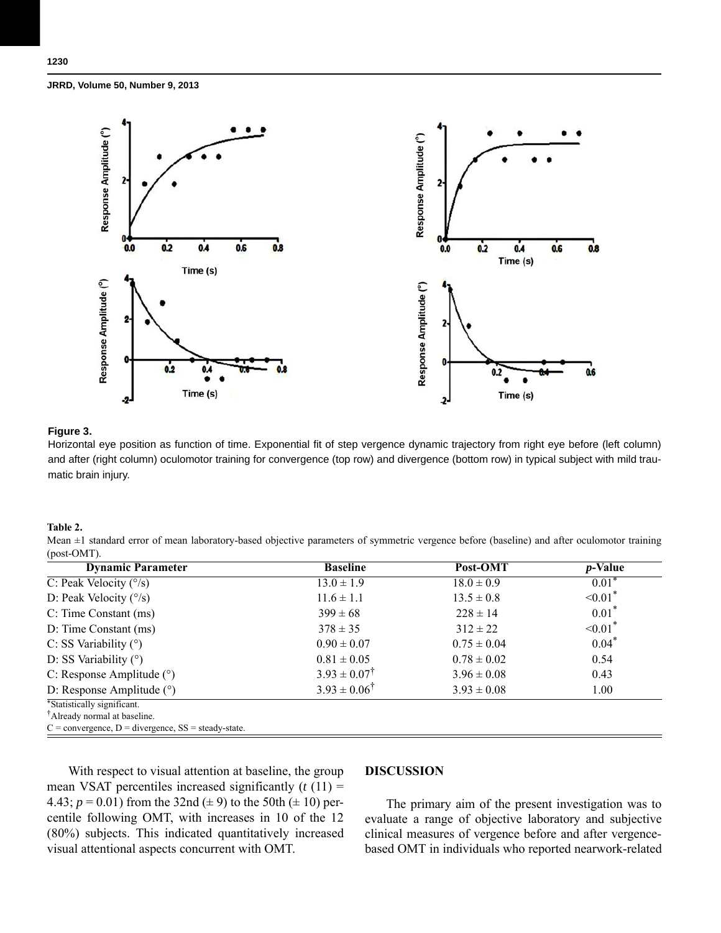

## **Figure 3.**

Horizontal eye position as function of time. Exponential fit of step vergence dynamic trajectory from right eye before (left column) and after (right column) oculomotor training for convergence (top row) and divergence (bottom row) in typical subject with mild traumatic brain injury.

#### **Table 2.**

Mean ±1 standard error of mean laboratory-based objective parameters of symmetric vergence before (baseline) and after oculomotor training (post-OMT).

| <b>Dynamic Parameter</b>                                  | <b>Baseline</b>           | Post-OMT        | <i>p</i> -Value          |
|-----------------------------------------------------------|---------------------------|-----------------|--------------------------|
| C: Peak Velocity $(^{\circ}/s)$                           | $13.0 \pm 1.9$            | $18.0 \pm 0.9$  | $0.01*$                  |
| D: Peak Velocity $(^{\circ}/s)$                           | $11.6 \pm 1.1$            | $13.5 \pm 0.8$  | ${<}0.01$ <sup>*</sup>   |
| C: Time Constant (ms)                                     | $399 \pm 68$              | $228 \pm 14$    | $0.01*$                  |
| D: Time Constant (ms)                                     | $378 \pm 35$              | $312 \pm 22$    | $\leq 0.01$ <sup>*</sup> |
| C: SS Variability $(°)$                                   | $0.90 \pm 0.07$           | $0.75 \pm 0.04$ | $0.04*$                  |
| D: SS Variability $(°)$                                   | $0.81 \pm 0.05$           | $0.78 \pm 0.02$ | 0.54                     |
| C: Response Amplitude $(°)$                               | $3.93 \pm 0.07^{\dagger}$ | $3.96 \pm 0.08$ | 0.43                     |
| D: Response Amplitude $(°)$                               | $3.93 \pm 0.06^{\dagger}$ | $3.93 \pm 0.08$ | 1.00                     |
| *Statistically significant.                               |                           |                 |                          |
| <sup>†</sup> Already normal at baseline.                  |                           |                 |                          |
| $C =$ convergence, $D =$ divergence, $SS =$ steady-state. |                           |                 |                          |

With respect to visual attention at baseline, the group mean VSAT percentiles increased significantly  $(t(11) =$ 4.43;  $p = 0.01$ ) from the 32nd ( $\pm$  9) to the 50th ( $\pm$  10) percentile following OMT, with increases in 10 of the 12 (80%) subjects. This indicated quantitatively increased visual attentional aspects concurrent with OMT.

## **DISCUSSION**

The primary aim of the present investigation was to evaluate a range of objective laboratory and subjective clinical measures of vergence before and after vergencebased OMT in individuals who reported nearwork-related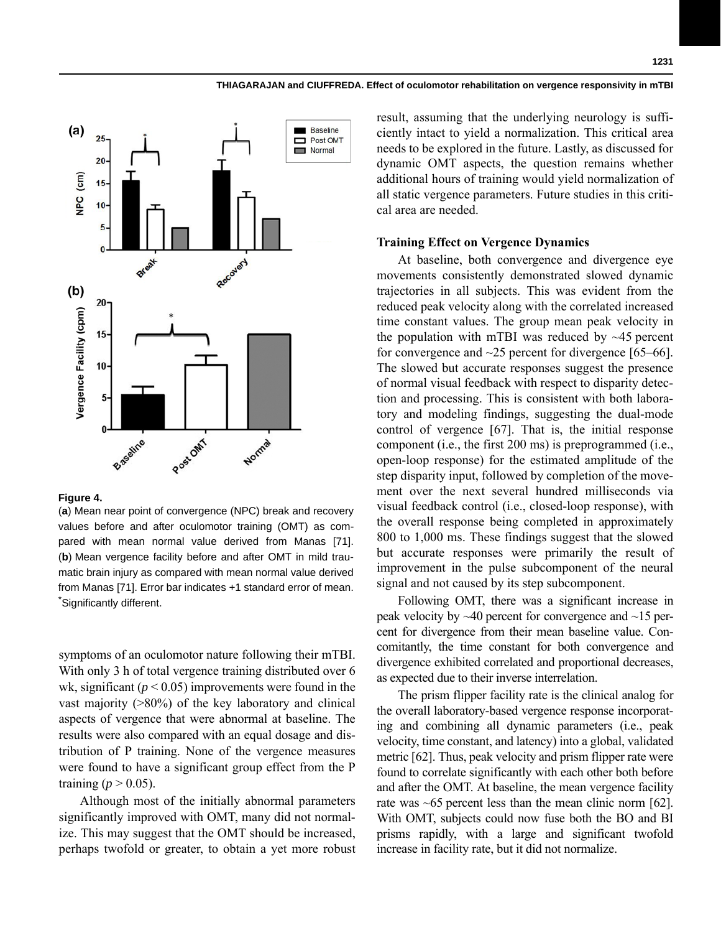

#### **Figure 4.**

(**a**) Mean near point of convergence (NPC) break and recovery values before and after oculomotor training (OMT) as compared with mean normal value derived from Manas [71]. (**b**) Mean vergence facility before and after OMT in mild traumatic brain injury as compared with mean normal value derived from Manas [71]. Error bar indicates +1 standard error of mean. \* Significantly different.

symptoms of an oculomotor nature following their mTBI. With only 3 h of total vergence training distributed over 6 wk, significant  $(p < 0.05)$  improvements were found in the vast majority (>80%) of the key laboratory and clinical aspects of vergence that were abnormal at baseline. The results were also compared with an equal dosage and distribution of P training. None of the vergence measures were found to have a significant group effect from the P training ( $p > 0.05$ ).

Although most of the initially abnormal parameters significantly improved with OMT, many did not normalize. This may suggest that the OMT should be increased, perhaps twofold or greater, to obtain a yet more robust result, assuming that the underlying neurology is sufficiently intact to yield a normalization. This critical area needs to be explored in the future. Lastly, as discussed for dynamic OMT aspects, the question remains whether additional hours of training would yield normalization of all static vergence parameters. Future studies in this critical area are needed.

#### **Training Effect on Vergence Dynamics**

At baseline, both convergence and divergence eye movements consistently demonstrated slowed dynamic trajectories in all subjects. This was evident from the reduced peak velocity along with the correlated increased time constant values. The group mean peak velocity in the population with mTBI was reduced by  $\sim$ 45 percent for convergence and  $\sim$ 25 percent for divergence [65–66]. The slowed but accurate responses suggest the presence of normal visual feedback with respect to disparity detection and processing. This is consistent with both laboratory and modeling findings, suggesting the dual-mode control of vergence [67]. That is, the initial response component (i.e., the first 200 ms) is preprogrammed (i.e., open-loop response) for the estimated amplitude of the step disparity input, followed by completion of the movement over the next several hundred milliseconds via visual feedback control (i.e., closed-loop response), with the overall response being completed in approximately 800 to 1,000 ms. These findings suggest that the slowed but accurate responses were primarily the result of improvement in the pulse subcomponent of the neural signal and not caused by its step subcomponent.

Following OMT, there was a significant increase in peak velocity by ~40 percent for convergence and ~15 percent for divergence from their mean baseline value. Concomitantly, the time constant for both convergence and divergence exhibited correlated and proportional decreases, as expected due to their inverse interrelation.

The prism flipper facility rate is the clinical analog for the overall laboratory-based vergence response incorporating and combining all dynamic parameters (i.e., peak velocity, time constant, and latency) into a global, validated metric [62]. Thus, peak velocity and prism flipper rate were found to correlate significantly with each other both before and after the OMT. At baseline, the mean vergence facility rate was ~65 percent less than the mean clinic norm [62]. With OMT, subjects could now fuse both the BO and BI prisms rapidly, with a large and significant twofold increase in facility rate, but it did not normalize.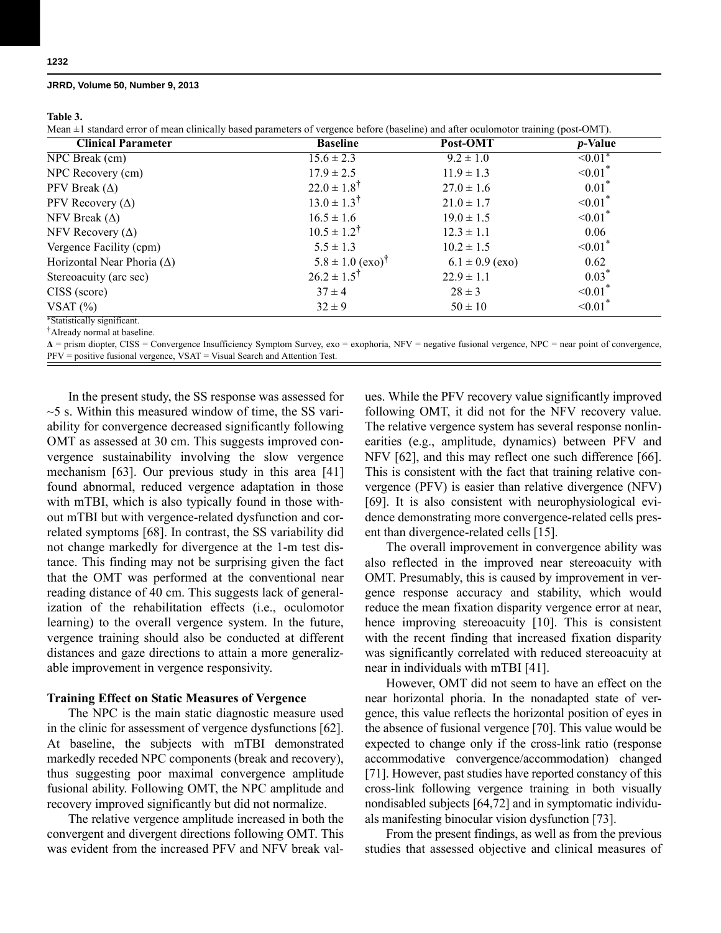**Table 3.**

Mean ±1 standard error of mean clinically based parameters of vergence before (baseline) and after oculomotor training (post-OMT).

| <b>Clinical Parameter</b>                  | <b>Baseline</b>                  | Post-OMT            | $p$ -Value             |
|--------------------------------------------|----------------------------------|---------------------|------------------------|
| $\overline{\text{NPC} \text{ Break (cm)}}$ | $15.6 \pm 2.3$                   | $9.2 \pm 1.0$       | $\leq 0.01*$           |
| NPC Recovery (cm)                          | $17.9 \pm 2.5$                   | $11.9 \pm 1.3$      | ${<}0.01*$             |
| PFV Break $(\Delta)$                       | $22.0 \pm 1.8^{\dagger}$         | $27.0 \pm 1.6$      | $0.01*$                |
| PFV Recovery $(\Delta)$                    | $13.0 \pm 1.3^{\dagger}$         | $21.0 \pm 1.7$      | ${<}0.01$ <sup>*</sup> |
| NFV Break $(\Delta)$                       | $16.5 \pm 1.6$                   | $19.0 \pm 1.5$      | ${<}0.01*$             |
| NFV Recovery $(\Delta)$                    | $10.5 \pm 1.2^{\dagger}$         | $12.3 \pm 1.1$      | 0.06                   |
| Vergence Facility (cpm)                    | $5.5 \pm 1.3$                    | $10.2 \pm 1.5$      | ${<}0.01$ <sup>*</sup> |
| Horizontal Near Phoria $(\Delta)$          | $5.8 \pm 1.0$ (exo) <sup>†</sup> | $6.1 \pm 0.9$ (exo) | 0.62                   |
| Stereoacuity (arc sec)                     | $26.2 \pm 1.5^{\dagger}$         | $22.9 \pm 1.1$      | $0.03*$                |
| CISS (score)                               | $37 \pm 4$                       | $28 \pm 3$          | ${<}0.01*$             |
| VSAT $(\%)$                                | $32 \pm 9$                       | $50 \pm 10$         | ${<}0.01$ <sup>*</sup> |
| *Statistically significant.                |                                  |                     |                        |

†Already normal at baseline.

**Δ** = prism diopter, CISS = Convergence Insufficiency Symptom Survey, exo = exophoria, NFV = negative fusional vergence, NPC = near point of convergence, PFV = positive fusional vergence, VSAT = Visual Search and Attention Test.

In the present study, the SS response was assessed for  $\sim$ 5 s. Within this measured window of time, the SS variability for convergence decreased significantly following OMT as assessed at 30 cm. This suggests improved convergence sustainability involving the slow vergence mechanism [63]. Our previous study in this area [41] found abnormal, reduced vergence adaptation in those with mTBI, which is also typically found in those without mTBI but with vergence-related dysfunction and correlated symptoms [68]. In contrast, the SS variability did not change markedly for divergence at the 1-m test distance. This finding may not be surprising given the fact that the OMT was performed at the conventional near reading distance of 40 cm. This suggests lack of generalization of the rehabilitation effects (i.e., oculomotor learning) to the overall vergence system. In the future, vergence training should also be conducted at different distances and gaze directions to attain a more generalizable improvement in vergence responsivity.

## **Training Effect on Static Measures of Vergence**

The NPC is the main static diagnostic measure used in the clinic for assessment of vergence dysfunctions [62]. At baseline, the subjects with mTBI demonstrated markedly receded NPC components (break and recovery), thus suggesting poor maximal convergence amplitude fusional ability. Following OMT, the NPC amplitude and recovery improved significantly but did not normalize.

The relative vergence amplitude increased in both the convergent and divergent directions following OMT. This was evident from the increased PFV and NFV break values. While the PFV recovery value significantly improved following OMT, it did not for the NFV recovery value. The relative vergence system has several response nonlinearities (e.g., amplitude, dynamics) between PFV and NFV [62], and this may reflect one such difference [66]. This is consistent with the fact that training relative convergence (PFV) is easier than relative divergence (NFV) [69]. It is also consistent with neurophysiological evidence demonstrating more convergence-related cells present than divergence-related cells [15].

The overall improvement in convergence ability was also reflected in the improved near stereoacuity with OMT. Presumably, this is caused by improvement in vergence response accuracy and stability, which would reduce the mean fixation disparity vergence error at near, hence improving stereoacuity [10]. This is consistent with the recent finding that increased fixation disparity was significantly correlated with reduced stereoacuity at near in individuals with mTBI [41].

However, OMT did not seem to have an effect on the near horizontal phoria. In the nonadapted state of vergence, this value reflects the horizontal position of eyes in the absence of fusional vergence [70]. This value would be expected to change only if the cross-link ratio (response accommodative convergence/accommodation) changed [71]. However, past studies have reported constancy of this cross-link following vergence training in both visually nondisabled subjects [64,72] and in symptomatic individuals manifesting binocular vision dysfunction [73].

From the present findings, as well as from the previous studies that assessed objective and clinical measures of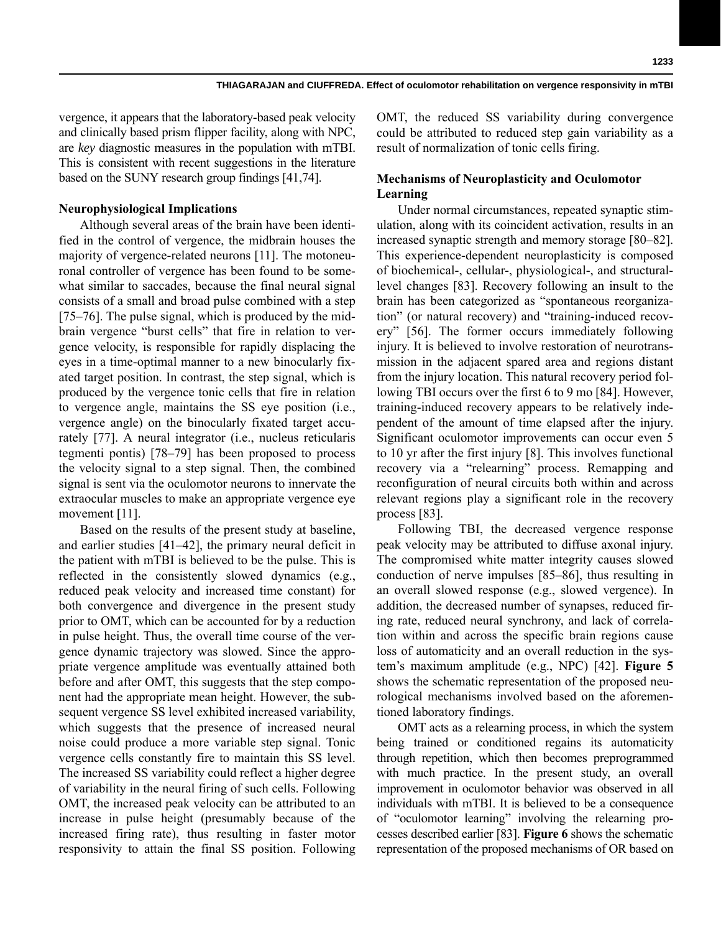vergence, it appears that the laboratory-based peak velocity and clinically based prism flipper facility, along with NPC, are *key* diagnostic measures in the population with mTBI. This is consistent with recent suggestions in the literature based on the SUNY research group findings [41,74].

## **Neurophysiological Implications**

Although several areas of the brain have been identified in the control of vergence, the midbrain houses the majority of vergence-related neurons [11]. The motoneuronal controller of vergence has been found to be somewhat similar to saccades, because the final neural signal consists of a small and broad pulse combined with a step [75–76]. The pulse signal, which is produced by the midbrain vergence "burst cells" that fire in relation to vergence velocity, is responsible for rapidly displacing the eyes in a time-optimal manner to a new binocularly fixated target position. In contrast, the step signal, which is produced by the vergence tonic cells that fire in relation to vergence angle, maintains the SS eye position (i.e., vergence angle) on the binocularly fixated target accurately [77]. A neural integrator (i.e., nucleus reticularis tegmenti pontis) [78–79] has been proposed to process the velocity signal to a step signal. Then, the combined signal is sent via the oculomotor neurons to innervate the extraocular muscles to make an appropriate vergence eye movement [11].

Based on the results of the present study at baseline, and earlier studies [41–42], the primary neural deficit in the patient with mTBI is believed to be the pulse. This is reflected in the consistently slowed dynamics (e.g., reduced peak velocity and increased time constant) for both convergence and divergence in the present study prior to OMT, which can be accounted for by a reduction in pulse height. Thus, the overall time course of the vergence dynamic trajectory was slowed. Since the appropriate vergence amplitude was eventually attained both before and after OMT, this suggests that the step component had the appropriate mean height. However, the subsequent vergence SS level exhibited increased variability, which suggests that the presence of increased neural noise could produce a more variable step signal. Tonic vergence cells constantly fire to maintain this SS level. The increased SS variability could reflect a higher degree of variability in the neural firing of such cells. Following OMT, the increased peak velocity can be attributed to an increase in pulse height (presumably because of the increased firing rate), thus resulting in faster motor responsivity to attain the final SS position. Following

OMT, the reduced SS variability during convergence could be attributed to reduced step gain variability as a result of normalization of tonic cells firing.

## **Mechanisms of Neuroplasticity and Oculomotor Learning**

Under normal circumstances, repeated synaptic stimulation, along with its coincident activation, results in an increased synaptic strength and memory storage [80–82]. This experience-dependent neuroplasticity is composed of biochemical-, cellular-, physiological-, and structurallevel changes [83]. Recovery following an insult to the brain has been categorized as "spontaneous reorganization" (or natural recovery) and "training-induced recovery" [56]. The former occurs immediately following injury. It is believed to involve restoration of neurotransmission in the adjacent spared area and regions distant from the injury location. This natural recovery period following TBI occurs over the first 6 to 9 mo [84]. However, training-induced recovery appears to be relatively independent of the amount of time elapsed after the injury. Significant oculomotor improvements can occur even 5 to 10 yr after the first injury [8]. This involves functional recovery via a "relearning" process. Remapping and reconfiguration of neural circuits both within and across relevant regions play a significant role in the recovery process [83].

Following TBI, the decreased vergence response peak velocity may be attributed to diffuse axonal injury. The compromised white matter integrity causes slowed conduction of nerve impulses [85–86], thus resulting in an overall slowed response (e.g., slowed vergence). In addition, the decreased number of synapses, reduced firing rate, reduced neural synchrony, and lack of correlation within and across the specific brain regions cause loss of automaticity and an overall reduction in the system's maximum amplitude (e.g., NPC) [42]. **Figure 5** shows the schematic representation of the proposed neurological mechanisms involved based on the aforementioned laboratory findings.

OMT acts as a relearning process, in which the system being trained or conditioned regains its automaticity through repetition, which then becomes preprogrammed with much practice. In the present study, an overall improvement in oculomotor behavior was observed in all individuals with mTBI. It is believed to be a consequence of "oculomotor learning" involving the relearning processes described earlier [83]. **Figure 6** shows the schematic representation of the proposed mechanisms of OR based on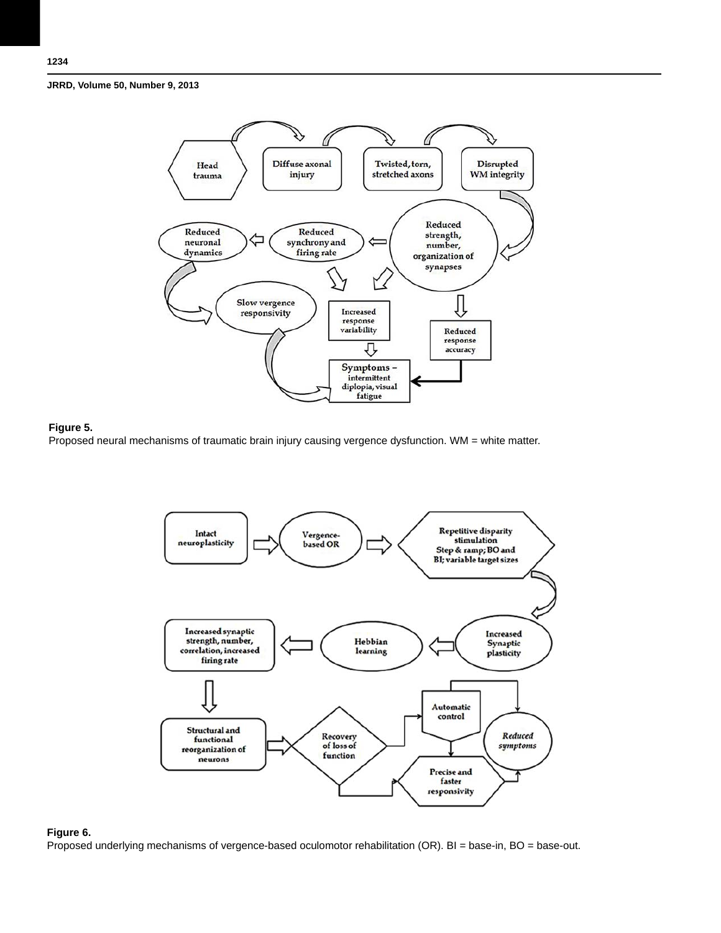

## **Figure 5.**

Proposed neural mechanisms of traumatic brain injury causing vergence dysfunction. WM = white matter.



## **Figure 6.**

Proposed underlying mechanisms of vergence-based oculomotor rehabilitation (OR). BI = base-in, BO = base-out.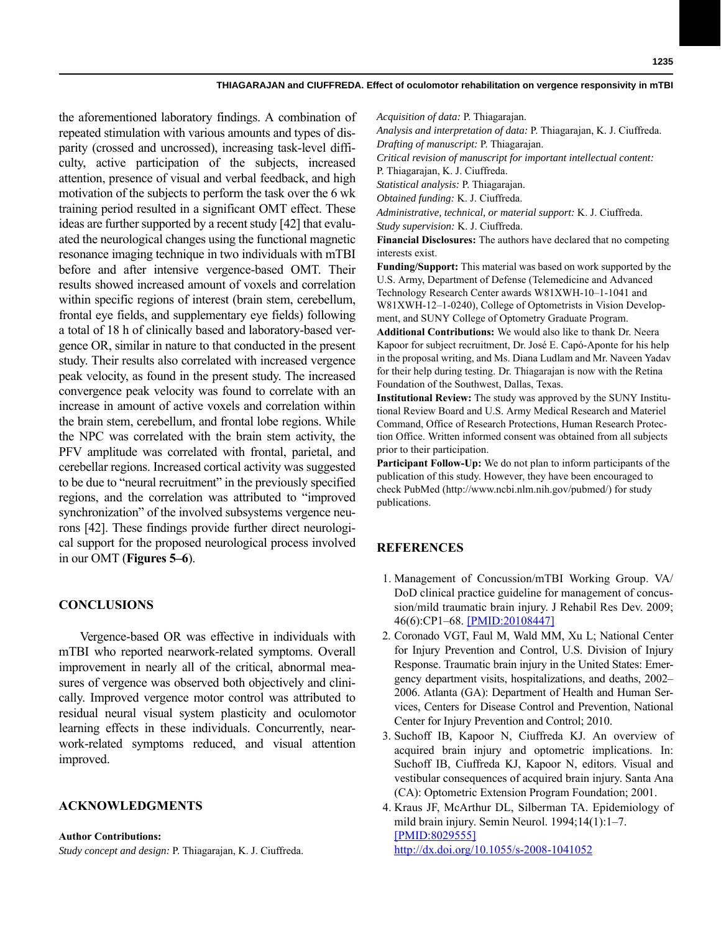the aforementioned laboratory findings. A combination of repeated stimulation with various amounts and types of disparity (crossed and uncrossed), increasing task-level difficulty, active participation of the subjects, increased attention, presence of visual and verbal feedback, and high motivation of the subjects to perform the task over the 6 wk training period resulted in a significant OMT effect. These ideas are further supported by a recent study [42] that evaluated the neurological changes using the functional magnetic resonance imaging technique in two individuals with mTBI before and after intensive vergence-based OMT. Their results showed increased amount of voxels and correlation within specific regions of interest (brain stem, cerebellum, frontal eye fields, and supplementary eye fields) following a total of 18 h of clinically based and laboratory-based vergence OR, similar in nature to that conducted in the present study. Their results also correlated with increased vergence peak velocity, as found in the present study. The increased convergence peak velocity was found to correlate with an increase in amount of active voxels and correlation within the brain stem, cerebellum, and frontal lobe regions. While the NPC was correlated with the brain stem activity, the PFV amplitude was correlated with frontal, parietal, and cerebellar regions. Increased cortical activity was suggested to be due to "neural recruitment" in the previously specified regions, and the correlation was attributed to "improved synchronization" of the involved subsystems vergence neurons [42]. These findings provide further direct neurological support for the proposed neurological process involved in our OMT (**Figures 5–6**).

#### **CONCLUSIONS**

Vergence-based OR was effective in individuals with mTBI who reported nearwork-related symptoms. Overall improvement in nearly all of the critical, abnormal measures of vergence was observed both objectively and clinically. Improved vergence motor control was attributed to residual neural visual system plasticity and oculomotor learning effects in these individuals. Concurrently, nearwork-related symptoms reduced, and visual attention improved.

## **ACKNOWLEDGMENTS**

**Author Contributions:**

*Study concept and design:* P. Thiagarajan, K. J. Ciuffreda.

*Acquisition of data:* P. Thiagarajan.

*Analysis and interpretation of data:* P. Thiagarajan, K. J. Ciuffreda. *Drafting of manuscript:* P. Thiagarajan.

*Critical revision of manuscript for important intellectual content:* P. Thiagarajan, K. J. Ciuffreda.

*Statistical analysis:* P. Thiagarajan.

*Obtained funding:* K. J. Ciuffreda.

*Administrative, technical, or material support:* K. J. Ciuffreda. *Study supervision:* K. J. Ciuffreda.

**Financial Disclosures:** The authors have declared that no competing interests exist.

**Funding/Support:** This material was based on work supported by the U.S. Army, Department of Defense (Telemedicine and Advanced Technology Research Center awards W81XWH-10–1-1041 and W81XWH-12–1-0240), College of Optometrists in Vision Development, and SUNY College of Optometry Graduate Program.

**Additional Contributions:** We would also like to thank Dr. Neera Kapoor for subject recruitment, Dr. José E. Capó-Aponte for his help in the proposal writing, and Ms. Diana Ludlam and Mr. Naveen Yadav for their help during testing. Dr. Thiagarajan is now with the Retina Foundation of the Southwest, Dallas, Texas.

**Institutional Review:** The study was approved by the SUNY Institutional Review Board and U.S. Army Medical Research and Materiel Command, Office of Research Protections, Human Research Protection Office. Written informed consent was obtained from all subjects prior to their participation.

**Participant Follow-Up:** We do not plan to inform participants of the publication of this study. However, they have been encouraged to check PubMed (http://www.ncbi.nlm.nih.gov/pubmed/) for study publications.

## **REFERENCES**

- 1. Management of Concussion/mTBI Working Group. VA/ DoD clinical practice guideline for management of concussion/mild traumatic brain injury. J Rehabil Res Dev. 2009; 46(6):CP1–68. [\[PMID:20108447\]](http://www.ncbi.nlm.nih.gov/pubmed/20108447)
- 2. Coronado VGT, Faul M, Wald MM, Xu L; National Center for Injury Prevention and Control, U.S. Division of Injury Response. Traumatic brain injury in the United States: Emergency department visits, hospitalizations, and deaths, 2002– 2006. Atlanta (GA): Department of Health and Human Services, Centers for Disease Control and Prevention, National Center for Injury Prevention and Control; 2010.
- 3. Suchoff IB, Kapoor N, Ciuffreda KJ. An overview of acquired brain injury and optometric implications. In: Suchoff IB, Ciuffreda KJ, Kapoor N, editors. Visual and vestibular consequences of acquired brain injury. Santa Ana (CA): Optometric Extension Program Foundation; 2001.
- 4. Kraus JF, McArthur DL, Silberman TA. Epidemiology of mild brain injury. Semin Neurol. 1994;14(1):1–7. [\[PMID:8029555\]](http://www.ncbi.nlm.nih.gov/entrez/query.fcgi?cmd=Retrieve&db=PubMed&list_uids=8029555&dopt=Abstract) [h](http://www.ncbi.nlm.nih.gov/entrez/query.fcgi?cmd=Retrieve&db=PubMed&list_uids=8029555&dopt=Abstract)[ttp://dx.doi.org/10.1055/s-2008-1041052](http://dx.doi.org/10.1055/s-2008-1041052)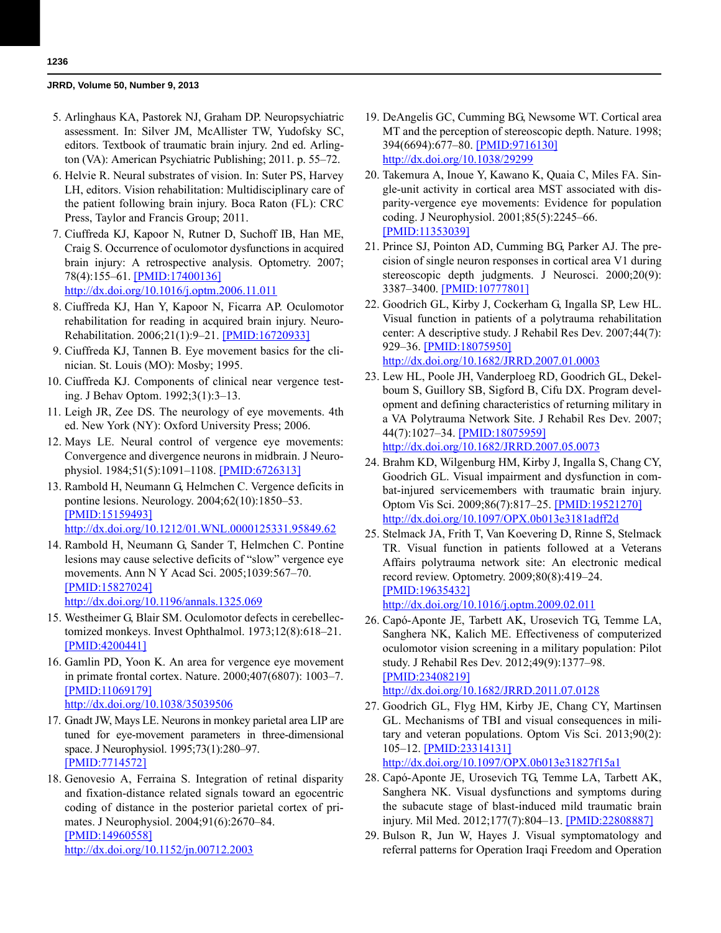- 5. Arlinghaus KA, Pastorek NJ, Graham DP. Neuropsychiatric assessment. In: Silver JM, McAllister TW, Yudofsky SC, editors. Textbook of traumatic brain injury. 2nd ed. Arlington (VA): American Psychiatric Publishing; 2011. p. 55–72.
- 6. Helvie R. Neural substrates of vision. In: Suter PS, Harvey LH, editors. Vision rehabilitation: Multidisciplinary care of the patient following brain injury. Boca Raton (FL): CRC Press, Taylor and Francis Group; 2011.
- 7. Ciuffreda KJ, Kapoor N, Rutner D, Suchoff IB, Han ME, Craig S. Occurrence of oculomotor dysfunctions in acquired brain injury: A retrospective analysis. Optometry. 2007; 78(4):155–61. [\[PMID:17400136\]](http://www.ncbi.nlm.nih.gov/entrez/query.fcgi?cmd=Retrieve&db=PubMed&list_uids=17400136&dopt=Abstract) [h](http://www.ncbi.nlm.nih.gov/entrez/query.fcgi?cmd=Retrieve&db=PubMed&list_uids=17400136&dopt=Abstract)[ttp://dx.doi.org/10.1016/j.optm.2006.11.011](http://dx.doi.org/10.1016/j.optm.2006.11.011)
- 8. Ciuffreda KJ, Han Y, Kapoor N, Ficarra AP. Oculomotor rehabilitation for reading in acquired brain injury. Neuro-Rehabilitation. 2006;21(1):9–21. [\[PMID:16720933\]](http://www.ncbi.nlm.nih.gov/entrez/query.fcgi?cmd=Retrieve&db=PubMed&list_uids=16720933&dopt=Abstract)
- 9. Ciuffreda KJ, Tannen B. Eye movement basics for the clinician. St. Louis (MO): Mosby; 1995.
- 10. Ciuffreda KJ. Components of clinical near vergence testing. J Behav Optom. 1992;3(1):3–13.
- 11. Leigh JR, Zee DS. The neurology of eye movements. 4th ed. New York (NY): Oxford University Press; 2006.
- 12. Mays LE. Neural control of vergence eye movements: Convergence and divergence neurons in midbrain. J Neurophysiol. 1984;51(5):1091–1108. [\[PMID:6726313\]](http://www.ncbi.nlm.nih.gov/entrez/query.fcgi?cmd=Retrieve&db=PubMed&list_uids=6726313&dopt=Abstract)
- 13. Rambold H, Neumann G, Helmchen C. Vergence deficits in pontine lesions. Neurology. 2004;62(10):1850–53. [\[PMID:15159493\]](http://www.ncbi.nlm.nih.gov/entrez/query.fcgi?cmd=Retrieve&db=PubMed&list_uids=15159493&dopt=Abstract) [h](http://www.ncbi.nlm.nih.gov/entrez/query.fcgi?cmd=Retrieve&db=PubMed&list_uids=15159493&dopt=Abstract)[ttp://dx.doi.org/10.1212/01.WNL.0000125331.95849.62](http://dx.doi.org/10.1212/01.WNL.0000125331.95849.62)
- 14. Rambold H, Neumann G, Sander T, Helmchen C. Pontine lesions may cause selective deficits of "slow" vergence eye movements. Ann N Y Acad Sci. 2005;1039:567–70. [\[PMID:15827024\]](http://www.ncbi.nlm.nih.gov/entrez/query.fcgi?cmd=Retrieve&db=PubMed&list_uids=15827024&dopt=Abstract) [h](http://www.ncbi.nlm.nih.gov/entrez/query.fcgi?cmd=Retrieve&db=PubMed&list_uids=15827024&dopt=Abstract)[ttp://dx.doi.org/10.1196/annals.1325.069](http://dx.doi.org/10.1196/annals.1325.069)
- 15. Westheimer G, Blair SM. Oculomotor defects in cerebellectomized monkeys. Invest Ophthalmol. 1973;12(8):618–21. [\[PMID:4200441\]](http://www.ncbi.nlm.nih.gov/entrez/query.fcgi?cmd=Retrieve&db=PubMed&list_uids=4200441&dopt=Abstract)
- 16. Gamlin PD, Yoon K. An area for vergence eye movement in primate frontal cortex. Nature. 2000;407(6807): 1003–7. [\[PMID:11069179\]](http://www.ncbi.nlm.nih.gov/entrez/query.fcgi?cmd=Retrieve&db=PubMed&list_uids=11069179&dopt=Abstract) [h](http://www.ncbi.nlm.nih.gov/entrez/query.fcgi?cmd=Retrieve&db=PubMed&list_uids=11069179&dopt=Abstract)[ttp://dx.doi.org/10.1038/35039506](http://dx.doi.org/10.1038/35039506)
- 17. Gnadt JW, Mays LE. Neurons in monkey parietal area LIP are tuned for eye-movement parameters in three-dimensional space. J Neurophysiol. 1995;73(1):280–97. [\[PMID:7714572\]](http://www.ncbi.nlm.nih.gov/entrez/query.fcgi?cmd=Retrieve&db=PubMed&list_uids=7714572&dopt=Abstract)
- 18. Genovesio A, Ferraina S. Integration of retinal disparity and fixation-distance related signals toward an egocentric coding of distance in the posterior parietal cortex of primates. J Neurophysiol. 2004;91(6):2670–84. [\[PMID:14960558\]](http://www.ncbi.nlm.nih.gov/entrez/query.fcgi?cmd=Retrieve&db=PubMed&list_uids=14960558&dopt=Abstract) [h](http://www.ncbi.nlm.nih.gov/entrez/query.fcgi?cmd=Retrieve&db=PubMed&list_uids=14960558&dopt=Abstract)[ttp://dx.doi.org/10.1152/jn.00712.2003](http://dx.doi.org/10.1152/jn.00712.2003)
- 19. DeAngelis GC, Cumming BG, Newsome WT. Cortical area MT and the perception of stereoscopic depth. Nature. 1998; 394(6694):677–80. [\[PMID:9716130\]](http://www.ncbi.nlm.nih.gov/entrez/query.fcgi?cmd=Retrieve&db=PubMed&list_uids=9716130&dopt=Abstract) [h](http://www.ncbi.nlm.nih.gov/entrez/query.fcgi?cmd=Retrieve&db=PubMed&list_uids=9716130&dopt=Abstract)[ttp://dx.doi.org/10.1038/29299](http://dx.doi.org/10.1038/29299)
- 20. Takemura A, Inoue Y, Kawano K, Quaia C, Miles FA. Single-unit activity in cortical area MST associated with disparity-vergence eye movements: Evidence for population coding. J Neurophysiol. 2001;85(5):2245–66. [\[PMID:11353039\]](http://www.ncbi.nlm.nih.gov/entrez/query.fcgi?cmd=Retrieve&db=PubMed&list_uids=11353039&dopt=Abstract)
- 21. Prince SJ, Pointon AD, Cumming BG, Parker AJ. The precision of single neuron responses in cortical area V1 during stereoscopic depth judgments. J Neurosci. 2000;20(9): 3387–3400. [\[PMID:10777801\]](http://www.ncbi.nlm.nih.gov/entrez/query.fcgi?cmd=Retrieve&db=PubMed&list_uids=10777801&dopt=Abstract)
- 22. Goodrich GL, Kirby J, Cockerham G, Ingalla SP, Lew HL. Visual function in patients of a polytrauma rehabilitation center: A descriptive study. J Rehabil Res Dev. 2007;44(7): 929-36. [\[PMID:18075950\]](http://www.ncbi.nlm.nih.gov/entrez/query.fcgi?cmd=Retrieve&db=PubMed&list_uids=18075950&dopt=Abstract) [h](http://www.ncbi.nlm.nih.gov/entrez/query.fcgi?cmd=Retrieve&db=PubMed&list_uids=18075950&dopt=Abstract)[ttp://dx.doi.org/10.1682/JRRD.2007.01.0003](http://dx.doi.org/10.1682/JRRD.2007.01.0003)
- 23. Lew HL, Poole JH, Vanderploeg RD, Goodrich GL, Dekelboum S, Guillory SB, Sigford B, Cifu DX. Program development and defining characteristics of returning military in a VA Polytrauma Network Site. J Rehabil Res Dev. 2007; 44(7):1027–34. [\[PMID:18075959\]](http://www.ncbi.nlm.nih.gov/entrez/query.fcgi?cmd=Retrieve&db=PubMed&list_uids=18075959&dopt=Abstract) [h](http://www.ncbi.nlm.nih.gov/entrez/query.fcgi?cmd=Retrieve&db=PubMed&list_uids=18075959&dopt=Abstract)[ttp://dx.doi.org/10.1682/JRRD.2007.05.0073](http://dx.doi.org/10.1682/JRRD.2007.05.0073)
- 24. Brahm KD, Wilgenburg HM, Kirby J, Ingalla S, Chang CY, Goodrich GL. Visual impairment and dysfunction in combat-injured servicemembers with traumatic brain injury. Optom Vis Sci. 2009;86(7):817–25. [\[PMID:19521270\]](http://www.ncbi.nlm.nih.gov/entrez/query.fcgi?cmd=Retrieve&db=PubMed&list_uids=19521270&dopt=Abstract) [h](http://www.ncbi.nlm.nih.gov/entrez/query.fcgi?cmd=Retrieve&db=PubMed&list_uids=19521270&dopt=Abstract)[ttp://dx.doi.org/10.1097/OPX.0b013e3181adff2d](http://dx.doi.org/10.1097/OPX.0b013e3181adff2d)
- 25. Stelmack JA, Frith T, Van Koevering D, Rinne S, Stelmack TR. Visual function in patients followed at a Veterans Affairs polytrauma network site: An electronic medical record review. Optometry. 2009;80(8):419–24. [\[PMID:19635432\]](http://www.ncbi.nlm.nih.gov/entrez/query.fcgi?cmd=Retrieve&db=PubMed&list_uids=19635432&dopt=Abstract)

[h](http://www.ncbi.nlm.nih.gov/entrez/query.fcgi?cmd=Retrieve&db=PubMed&list_uids=19635432&dopt=Abstract)[ttp://dx.doi.org/10.1016/j.optm.2009.02.011](http://dx.doi.org/10.1016/j.optm.2009.02.011)

- 26. Capó-Aponte JE, Tarbett AK, Urosevich TG, Temme LA, Sanghera NK, Kalich ME. Effectiveness of computerized oculomotor vision screening in a military population: Pilot study. J Rehabil Res Dev. 2012;49(9):1377–98. [\[PMID:23408219\]](http://www.ncbi.nlm.nih.gov/entrez/query.fcgi?cmd=Retrieve&db=PubMed&list_uids=23408219&dopt=Abstract) [h](http://www.ncbi.nlm.nih.gov/entrez/query.fcgi?cmd=Retrieve&db=PubMed&list_uids=23408219&dopt=Abstract)[ttp://dx.doi.org/10.1682/JRRD.2011.07.0128](http://dx.doi.org/10.1682/JRRD.2011.07.0128)
- 27. Goodrich GL, Flyg HM, Kirby JE, Chang CY, Martinsen GL. Mechanisms of TBI and visual consequences in military and veteran populations. Optom Vis Sci. 2013;90(2): 105–12. [\[PMID:23314131\]](http://www.ncbi.nlm.nih.gov/entrez/query.fcgi?cmd=Retrieve&db=PubMed&list_uids=23314131&dopt=Abstract)

[h](http://www.ncbi.nlm.nih.gov/entrez/query.fcgi?cmd=Retrieve&db=PubMed&list_uids=23314131&dopt=Abstract)[ttp://dx.doi.org/10.1097/OPX.0b013e31827f15a1](http://dx.doi.org/10.1097/OPX.0b013e31827f15a1)

- 28. Capó-Aponte JE, Urosevich TG, Temme LA, Tarbett AK, Sanghera NK. Visual dysfunctions and symptoms during the subacute stage of blast-induced mild traumatic brain injury. Mil Med. 2012;177(7):804–13. [\[PMID:22808887\]](http://www.ncbi.nlm.nih.gov/entrez/query.fcgi?cmd=Retrieve&db=PubMed&list_uids=22808887&dopt=Abstract)
- 29. Bulson R, Jun W, Hayes J. Visual symptomatology and referral patterns for Operation Iraqi Freedom and Operation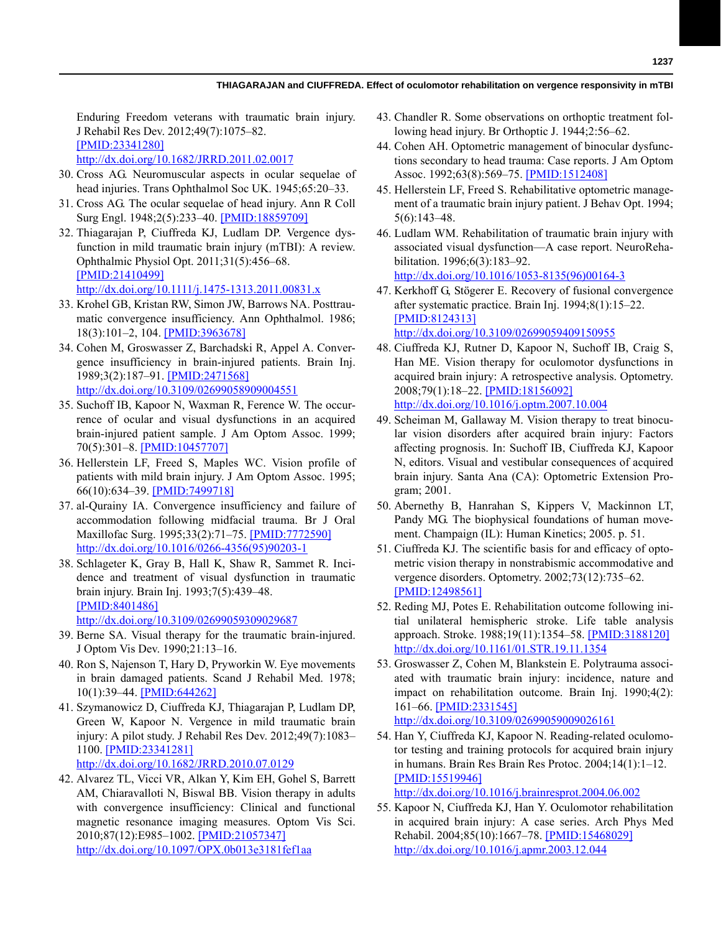Enduring Freedom veterans with traumatic brain injury. J Rehabil Res Dev. 2012;49(7):1075–82. [\[PMID:23341280\]](http://www.ncbi.nlm.nih.gov/entrez/query.fcgi?cmd=Retrieve&db=PubMed&list_uids=23341280&dopt=Abstract) [h](http://www.ncbi.nlm.nih.gov/entrez/query.fcgi?cmd=Retrieve&db=PubMed&list_uids=23341280&dopt=Abstract)[ttp://dx.doi.org/10.1682/JRRD.2011.02.0017](http://dx.doi.org/10.1682/JRRD.2011.02.0017)

30. Cross AG. Neuromuscular aspects in ocular sequelae of

- head injuries. Trans Ophthalmol Soc UK. 1945;65:20–33. 31. Cross AG. The ocular sequelae of head injury. Ann R Coll
- Surg Engl. 1948;2(5):233–40. [\[PMID:18859709\]](http://www.ncbi.nlm.nih.gov/entrez/query.fcgi?cmd=Retrieve&db=PubMed&list_uids=18859709&dopt=Abstract)
- 32. Thiagarajan P, Ciuffreda KJ, Ludlam DP. Vergence dysfunction in mild traumatic brain injury (mTBI): A review. Ophthalmic Physiol Opt. 2011;31(5):456–68. [\[PMID:21410499\]](http://www.ncbi.nlm.nih.gov/entrez/query.fcgi?cmd=Retrieve&db=PubMed&list_uids=21410499&dopt=Abstract) [h](http://www.ncbi.nlm.nih.gov/entrez/query.fcgi?cmd=Retrieve&db=PubMed&list_uids=21410499&dopt=Abstract)[ttp://dx.doi.org/10.1111/j.1475-1313.2011.00831.x](http://dx.doi.org/10.1111/j.1475-1313.2011.00831.x)
- 33. Krohel GB, Kristan RW, Simon JW, Barrows NA. Posttraumatic convergence insufficiency. Ann Ophthalmol. 1986; 18(3):101–2, 104. [\[PMID:3963678\]](http://www.ncbi.nlm.nih.gov/entrez/query.fcgi?cmd=Retrieve&db=PubMed&list_uids=3963678&dopt=Abstract)
- 34. Cohen M, Groswasser Z, Barchadski R, Appel A. Convergence insufficiency in brain-injured patients. Brain Inj. 1989;3(2):187–91. [\[PMID:2471568\]](http://www.ncbi.nlm.nih.gov/entrez/query.fcgi?cmd=Retrieve&db=PubMed&list_uids=2471568&dopt=Abstract) [h](http://www.ncbi.nlm.nih.gov/entrez/query.fcgi?cmd=Retrieve&db=PubMed&list_uids=2471568&dopt=Abstract)[ttp://dx.doi.org/10.3109/02699058909004551](http://dx.doi.org/10.3109/02699058909004551)
- 35. Suchoff IB, Kapoor N, Waxman R, Ference W. The occurrence of ocular and visual dysfunctions in an acquired brain-injured patient sample. J Am Optom Assoc. 1999; 70(5):301–8. [\[PMID:10457707\]](http://www.ncbi.nlm.nih.gov/entrez/query.fcgi?cmd=Retrieve&db=PubMed&list_uids=10457707&dopt=Abstract)
- 36. Hellerstein LF, Freed S, Maples WC. Vision profile of patients with mild brain injury. J Am Optom Assoc. 1995; 66(10):634–39. [\[PMID:7499718\]](http://www.ncbi.nlm.nih.gov/entrez/query.fcgi?cmd=Retrieve&db=PubMed&list_uids=7499718&dopt=Abstract)
- 37. al-Qurainy IA. Convergence insufficiency and failure of accommodation following midfacial trauma. Br J Oral Maxillofac Surg. 1995;33(2):71–75. [\[PMID:7772590\]](http://www.ncbi.nlm.nih.gov/entrez/query.fcgi?cmd=Retrieve&db=PubMed&list_uids=7772590&dopt=Abstract) [h](http://www.ncbi.nlm.nih.gov/entrez/query.fcgi?cmd=Retrieve&db=PubMed&list_uids=7772590&dopt=Abstract)[ttp://dx.doi.org/10.1016/0266-4356\(95\)90203-1](http://dx.doi.org/10.1016/0266-4356(95)90203-1)
- 38. Schlageter K, Gray B, Hall K, Shaw R, Sammet R. Incidence and treatment of visual dysfunction in traumatic brain injury. Brain Inj. 1993;7(5):439–48. [\[PMID:8401486\]](http://www.ncbi.nlm.nih.gov/entrez/query.fcgi?cmd=Retrieve&db=PubMed&list_uids=8401486&dopt=Abstract)

[h](http://www.ncbi.nlm.nih.gov/entrez/query.fcgi?cmd=Retrieve&db=PubMed&list_uids=8401486&dopt=Abstract)[ttp://dx.doi.org/10.3109/02699059309029687](http://dx.doi.org/10.3109/02699059309029687)

- 39. Berne SA. Visual therapy for the traumatic brain-injured. J Optom Vis Dev. 1990;21:13–16.
- 40. Ron S, Najenson T, Hary D, Pryworkin W. Eye movements in brain damaged patients. Scand J Rehabil Med. 1978; 10(1):39–44. [\[PMID:644262\]](http://www.ncbi.nlm.nih.gov/entrez/query.fcgi?cmd=Retrieve&db=PubMed&list_uids=644262&dopt=Abstract)
- 41. Szymanowicz D, Ciuffreda KJ, Thiagarajan P, Ludlam DP, Green W, Kapoor N. Vergence in mild traumatic brain injury: A pilot study. J Rehabil Res Dev. 2012;49(7):1083– 1100. [\[PMID:23341281\]](http://www.ncbi.nlm.nih.gov/entrez/query.fcgi?cmd=Retrieve&db=PubMed&list_uids=23341281&dopt=Abstract) [h](http://www.ncbi.nlm.nih.gov/entrez/query.fcgi?cmd=Retrieve&db=PubMed&list_uids=23341281&dopt=Abstract)[ttp://dx.doi.org/10.1682/JRRD.2010.07.0129](http://dx.doi.org/10.1682/JRRD.2010.07.0129)

42. Alvarez TL, Vicci VR, Alkan Y, Kim EH, Gohel S, Barrett AM, Chiaravalloti N, Biswal BB. Vision therapy in adults with convergence insufficiency: Clinical and functional magnetic resonance imaging measures. Optom Vis Sci. 2010;87(12):E985–1002. [\[PMID:21057347\]](http://www.ncbi.nlm.nih.gov/entrez/query.fcgi?cmd=Retrieve&db=PubMed&list_uids=21057347&dopt=Abstract) [h](http://www.ncbi.nlm.nih.gov/entrez/query.fcgi?cmd=Retrieve&db=PubMed&list_uids=21057347&dopt=Abstract)[ttp://dx.doi.org/10.1097/OPX.0b013e3181fef1aa](http://dx.doi.org/10.1097/OPX.0b013e3181fef1aa)

- 43. Chandler R. Some observations on orthoptic treatment following head injury. Br Orthoptic J. 1944;2:56–62.
- 44. Cohen AH. Optometric management of binocular dysfunctions secondary to head trauma: Case reports. J Am Optom Assoc. 1992;63(8):569–75. [\[PMID:1512408\]](http://www.ncbi.nlm.nih.gov/entrez/query.fcgi?cmd=Retrieve&db=PubMed&list_uids=1512408&dopt=Abstract)
- 45. Hellerstein LF, Freed S. Rehabilitative optometric management of a traumatic brain injury patient. J Behav Opt. 1994; 5(6):143–48.

46. Ludlam WM. Rehabilitation of traumatic brain injury with associated visual dysfunction—A case report. NeuroRehabilitation. 1996;6(3):183–92. [http://dx.doi.org/10.1016/1053-8135\(96\)00164-3](http://dx.doi.org/10.1016/1053-8135(96)00164-3)

47. Kerkhoff G, Stögerer E. Recovery of fusional convergence after systematic practice. Brain Inj. 1994;8(1):15–22. [\[PMID:8124313\]](http://www.ncbi.nlm.nih.gov/entrez/query.fcgi?cmd=Retrieve&db=PubMed&list_uids=8124313&dopt=Abstract) [h](http://www.ncbi.nlm.nih.gov/entrez/query.fcgi?cmd=Retrieve&db=PubMed&list_uids=8124313&dopt=Abstract)[ttp://dx.doi.org/10.3109/02699059409150955](http://dx.doi.org/10.3109/02699059409150955)

- 48. Ciuffreda KJ, Rutner D, Kapoor N, Suchoff IB, Craig S, Han ME. Vision therapy for oculomotor dysfunctions in acquired brain injury: A retrospective analysis. Optometry. 2008;79(1):18–22. [\[PMID:18156092\]](http://www.ncbi.nlm.nih.gov/entrez/query.fcgi?cmd=Retrieve&db=PubMed&list_uids=18156092&dopt=Abstract) [h](http://www.ncbi.nlm.nih.gov/entrez/query.fcgi?cmd=Retrieve&db=PubMed&list_uids=18156092&dopt=Abstract)[ttp://dx.doi.org/10.1016/j.optm.2007.10.004](http://dx.doi.org/10.1016/j.optm.2007.10.004)
- 49. Scheiman M, Gallaway M. Vision therapy to treat binocular vision disorders after acquired brain injury: Factors affecting prognosis. In: Suchoff IB, Ciuffreda KJ, Kapoor N, editors. Visual and vestibular consequences of acquired brain injury. Santa Ana (CA): Optometric Extension Program; 2001.
- 50. Abernethy B, Hanrahan S, Kippers V, Mackinnon LT, Pandy MG. The biophysical foundations of human movement. Champaign (IL): Human Kinetics; 2005. p. 51.
- 51. Ciuffreda KJ. The scientific basis for and efficacy of optometric vision therapy in nonstrabismic accommodative and vergence disorders. Optometry. 2002;73(12):735–62. [\[PMID:12498561\]](http://www.ncbi.nlm.nih.gov/entrez/query.fcgi?cmd=Retrieve&db=PubMed&list_uids=12498561&dopt=Abstract)
- 52. Reding MJ, Potes E. Rehabilitation outcome following initial unilateral hemispheric stroke. Life table analysis approach. Stroke. 1988;19(11):1354–58. [\[PMID:3188120\]](http://www.ncbi.nlm.nih.gov/entrez/query.fcgi?cmd=Retrieve&db=PubMed&list_uids=3188120&dopt=Abstract) [h](http://www.ncbi.nlm.nih.gov/entrez/query.fcgi?cmd=Retrieve&db=PubMed&list_uids=3188120&dopt=Abstract)[ttp://dx.doi.org/10.1161/01.STR.19.11.1354](http://dx.doi.org/10.1161/01.STR.19.11.1354)
- 53. Groswasser Z, Cohen M, Blankstein E. Polytrauma associated with traumatic brain injury: incidence, nature and impact on rehabilitation outcome. Brain Inj. 1990;4(2): 161–66. [\[PMID:2331545\]](http://www.ncbi.nlm.nih.gov/entrez/query.fcgi?cmd=Retrieve&db=PubMed&list_uids=2331545&dopt=Abstract) [h](http://www.ncbi.nlm.nih.gov/entrez/query.fcgi?cmd=Retrieve&db=PubMed&list_uids=2331545&dopt=Abstract)[ttp://dx.doi.org/10.3109/02699059009026161](http://dx.doi.org/10.3109/02699059009026161)
- 54. Han Y, Ciuffreda KJ, Kapoor N. Reading-related oculomotor testing and training protocols for acquired brain injury in humans. Brain Res Brain Res Protoc. 2004;14(1):1–12. [\[PMID:15519946\]](http://www.ncbi.nlm.nih.gov/entrez/query.fcgi?cmd=Retrieve&db=PubMed&list_uids=15519946&dopt=Abstract)

[h](http://www.ncbi.nlm.nih.gov/entrez/query.fcgi?cmd=Retrieve&db=PubMed&list_uids=15519946&dopt=Abstract)[ttp://dx.doi.org/10.1016/j.brainresprot.2004.06.002](http://dx.doi.org/10.1016/j.brainresprot.2004.06.002)

55. Kapoor N, Ciuffreda KJ, Han Y. Oculomotor rehabilitation in acquired brain injury: A case series. Arch Phys Med Rehabil. 2004;85(10):1667–78. [\[PMID:15468029\]](http://www.ncbi.nlm.nih.gov/entrez/query.fcgi?cmd=Retrieve&db=PubMed&list_uids=15468029&dopt=Abstract) [h](http://www.ncbi.nlm.nih.gov/entrez/query.fcgi?cmd=Retrieve&db=PubMed&list_uids=15468029&dopt=Abstract)[ttp://dx.doi.org/10.1016/j.apmr.2003.12.044](http://dx.doi.org/10.1016/j.apmr.2003.12.044)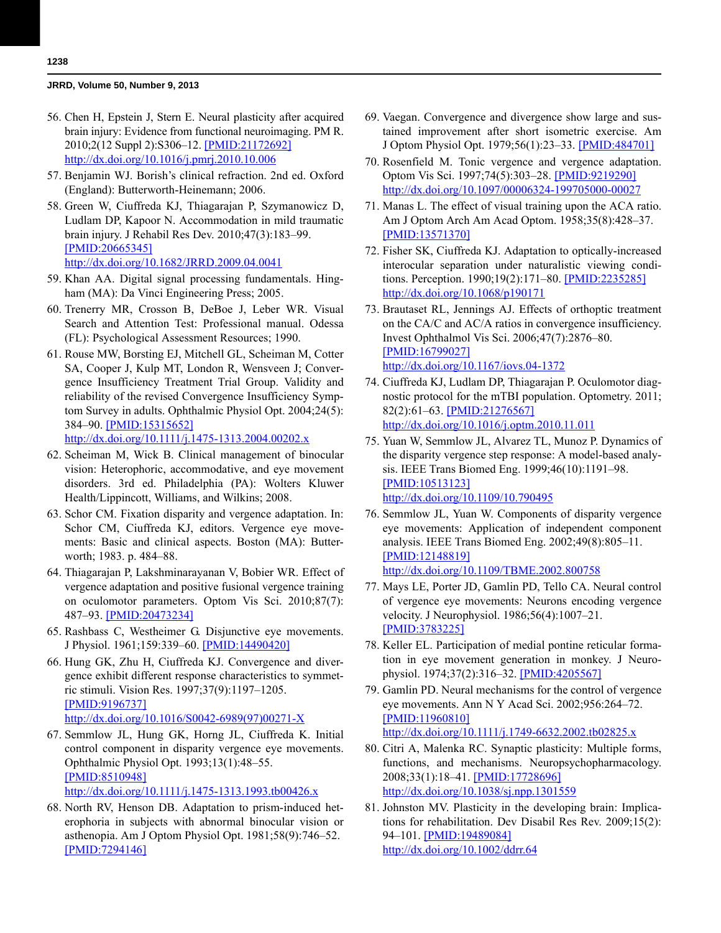- 56. Chen H, Epstein J, Stern E. Neural plasticity after acquired brain injury: Evidence from functional neuroimaging. PM R. 2010;2(12 Suppl 2):S306–12. [\[PMID:21172692\]](http://www.ncbi.nlm.nih.gov/entrez/query.fcgi?cmd=Retrieve&db=PubMed&list_uids=21172692&dopt=Abstract) [h](http://www.ncbi.nlm.nih.gov/entrez/query.fcgi?cmd=Retrieve&db=PubMed&list_uids=21172692&dopt=Abstract)[ttp://dx.doi.org/10.1016/j.pmrj.2010.10.006](http://dx.doi.org/10.1016/j.pmrj.2010.10.006)
- 57. Benjamin WJ. Borish's clinical refraction. 2nd ed. Oxford (England): Butterworth-Heinemann; 2006.
- 58. Green W, Ciuffreda KJ, Thiagarajan P, Szymanowicz D, Ludlam DP, Kapoor N. Accommodation in mild traumatic brain injury. J Rehabil Res Dev. 2010;47(3):183–99. [\[PMID:20665345\]](http://www.ncbi.nlm.nih.gov/entrez/query.fcgi?cmd=Retrieve&db=PubMed&list_uids=20665345&dopt=Abstract) [h](http://www.ncbi.nlm.nih.gov/entrez/query.fcgi?cmd=Retrieve&db=PubMed&list_uids=20665345&dopt=Abstract)[ttp://dx.doi.org/10.1682/JRRD.2009.04.0041](http://dx.doi.org/10.1682/JRRD.2009.04.0041)
- 59. Khan AA. Digital signal processing fundamentals. Hingham (MA): Da Vinci Engineering Press; 2005.
- 60. Trenerry MR, Crosson B, DeBoe J, Leber WR. Visual Search and Attention Test: Professional manual. Odessa (FL): Psychological Assessment Resources; 1990.
- 61. Rouse MW, Borsting EJ, Mitchell GL, Scheiman M, Cotter SA, Cooper J, Kulp MT, London R, Wensveen J; Convergence Insufficiency Treatment Trial Group. Validity and reliability of the revised Convergence Insufficiency Symptom Survey in adults. Ophthalmic Physiol Opt. 2004;24(5): 384–90. [\[PMID:15315652\]](http://www.ncbi.nlm.nih.gov/entrez/query.fcgi?cmd=Retrieve&db=PubMed&list_uids=15315652&dopt=Abstract) [h](http://www.ncbi.nlm.nih.gov/entrez/query.fcgi?cmd=Retrieve&db=PubMed&list_uids=15315652&dopt=Abstract)[ttp://dx.doi.org/10.1111/j.1475-1313.2004.00202.x](http://dx.doi.org/10.1111/j.1475-1313.2004.00202.x)
- 62. Scheiman M, Wick B. Clinical management of binocular vision: Heterophoric, accommodative, and eye movement disorders. 3rd ed. Philadelphia (PA): Wolters Kluwer Health/Lippincott, Williams, and Wilkins; 2008.
- 63. Schor CM. Fixation disparity and vergence adaptation. In: Schor CM, Ciuffreda KJ, editors. Vergence eye movements: Basic and clinical aspects. Boston (MA): Butterworth; 1983. p. 484–88.
- 64. Thiagarajan P, Lakshminarayanan V, Bobier WR. Effect of vergence adaptation and positive fusional vergence training on oculomotor parameters. Optom Vis Sci. 2010;87(7): 487–93. [\[PMID:20473234\]](http://www.ncbi.nlm.nih.gov/entrez/query.fcgi?cmd=Retrieve&db=PubMed&list_uids=20473234&dopt=Abstract)
- 65. Rashbass C, Westheimer G. Disjunctive eye movements. J Physiol. 1961;159:339–60. [\[PMID:14490420\]](http://www.ncbi.nlm.nih.gov/entrez/query.fcgi?cmd=Retrieve&db=PubMed&list_uids=14490420&dopt=Abstract)
- 66. Hung GK, Zhu H, Ciuffreda KJ. Convergence and divergence exhibit different response characteristics to symmetric stimuli. Vision Res. 1997;37(9):1197–1205. [\[PMID:9196737\]](http://www.ncbi.nlm.nih.gov/entrez/query.fcgi?cmd=Retrieve&db=PubMed&list_uids=9196737&dopt=Abstract) [h](http://www.ncbi.nlm.nih.gov/entrez/query.fcgi?cmd=Retrieve&db=PubMed&list_uids=9196737&dopt=Abstract)[ttp://dx.doi.org/10.1016/S0042-6989\(97\)00271-X](http://dx.doi.org/10.1016/S0042-6989(97)00271-X)
- 67. Semmlow JL, Hung GK, Horng JL, Ciuffreda K. Initial control component in disparity vergence eye movements. Ophthalmic Physiol Opt. 1993;13(1):48–55. [\[PMID:8510948\]](http://www.ncbi.nlm.nih.gov/entrez/query.fcgi?cmd=Retrieve&db=PubMed&list_uids=8510948&dopt=Abstract) [h](http://www.ncbi.nlm.nih.gov/entrez/query.fcgi?cmd=Retrieve&db=PubMed&list_uids=8510948&dopt=Abstract)[ttp://dx.doi.org/10.1111/j.1475-1313.1993.tb00426.x](http://dx.doi.org/10.1111/j.1475-1313.1993.tb00426.x)
- 68. North RV, Henson DB. Adaptation to prism-induced heterophoria in subjects with abnormal binocular vision or asthenopia. Am J Optom Physiol Opt. 1981;58(9):746–52. [\[PMID:7294146\]](http://www.ncbi.nlm.nih.gov/entrez/query.fcgi?cmd=Retrieve&db=PubMed&list_uids=7294146&dopt=Abstract)
- 69. Vaegan. Convergence and divergence show large and sustained improvement after short isometric exercise. Am J Optom Physiol Opt. 1979;56(1):23–33. [\[PMID:484701\]](http://www.ncbi.nlm.nih.gov/entrez/query.fcgi?cmd=Retrieve&db=PubMed&list_uids=484701&dopt=Abstract)
- 70. Rosenfield M. Tonic vergence and vergence adaptation. Optom Vis Sci. 1997;74(5):303–28. [\[PMID:9219290\]](http://www.ncbi.nlm.nih.gov/entrez/query.fcgi?cmd=Retrieve&db=PubMed&list_uids=9219290&dopt=Abstract) [h](http://www.ncbi.nlm.nih.gov/entrez/query.fcgi?cmd=Retrieve&db=PubMed&list_uids=9219290&dopt=Abstract)[ttp://dx.doi.org/10.1097/00006324-199705000-00027](http://dx.doi.org/10.1097/00006324-199705000-00027)
- 71. Manas L. The effect of visual training upon the ACA ratio. Am J Optom Arch Am Acad Optom. 1958;35(8):428–37. [\[PMID:13571370\]](http://www.ncbi.nlm.nih.gov/entrez/query.fcgi?cmd=Retrieve&db=PubMed&list_uids=13571370&dopt=Abstract)
- 72. Fisher SK, Ciuffreda KJ. Adaptation to optically-increased interocular separation under naturalistic viewing conditions. Perception. 1990;19(2):171–80. [\[PMID:2235285\]](http://www.ncbi.nlm.nih.gov/entrez/query.fcgi?cmd=Retrieve&db=PubMed&list_uids=2235285&dopt=Abstract) [h](http://www.ncbi.nlm.nih.gov/entrez/query.fcgi?cmd=Retrieve&db=PubMed&list_uids=2235285&dopt=Abstract)[ttp://dx.doi.org/10.1068/p190171](http://dx.doi.org/10.1068/p190171)
- 73. Brautaset RL, Jennings AJ. Effects of orthoptic treatment on the CA/C and AC/A ratios in convergence insufficiency. Invest Ophthalmol Vis Sci. 2006;47(7):2876–80. [\[PMID:16799027\]](http://www.ncbi.nlm.nih.gov/entrez/query.fcgi?cmd=Retrieve&db=PubMed&list_uids=16799027&dopt=Abstract) [h](http://www.ncbi.nlm.nih.gov/entrez/query.fcgi?cmd=Retrieve&db=PubMed&list_uids=16799027&dopt=Abstract)[ttp://dx.doi.org/10.1167/iovs.04-1372](http://dx.doi.org/10.1167/iovs.04-1372)
- 74. Ciuffreda KJ, Ludlam DP, Thiagarajan P. Oculomotor diagnostic protocol for the mTBI population. Optometry. 2011; 82(2):61–63. [\[PMID:21276567\]](http://www.ncbi.nlm.nih.gov/entrez/query.fcgi?cmd=Retrieve&db=PubMed&list_uids=21276567&dopt=Abstract) [h](http://www.ncbi.nlm.nih.gov/entrez/query.fcgi?cmd=Retrieve&db=PubMed&list_uids=21276567&dopt=Abstract)[ttp://dx.doi.org/10.1016/j.optm.2010.11.011](http://dx.doi.org/10.1016/j.optm.2010.11.011)
- 75. Yuan W, Semmlow JL, Alvarez TL, Munoz P. Dynamics of the disparity vergence step response: A model-based analysis. IEEE Trans Biomed Eng. 1999;46(10):1191–98. [\[PMID:10513123\]](http://www.ncbi.nlm.nih.gov/entrez/query.fcgi?cmd=Retrieve&db=PubMed&list_uids=10513123&dopt=Abstract) [h](http://www.ncbi.nlm.nih.gov/entrez/query.fcgi?cmd=Retrieve&db=PubMed&list_uids=10513123&dopt=Abstract)[ttp://dx.doi.org/10.1109/10.790495](http://dx.doi.org/10.1109/10.790495)
- 76. Semmlow JL, Yuan W. Components of disparity vergence eye movements: Application of independent component analysis. IEEE Trans Biomed Eng. 2002;49(8):805–11. [\[PMID:12148819\]](http://www.ncbi.nlm.nih.gov/entrez/query.fcgi?cmd=Retrieve&db=PubMed&list_uids=12148819&dopt=Abstract) [h](http://www.ncbi.nlm.nih.gov/entrez/query.fcgi?cmd=Retrieve&db=PubMed&list_uids=12148819&dopt=Abstract)[ttp://dx.doi.org/10.1109/TBME.2002.800758](http://dx.doi.org/10.1109/TBME.2002.800758)
- 77. Mays LE, Porter JD, Gamlin PD, Tello CA. Neural control of vergence eye movements: Neurons encoding vergence velocity. J Neurophysiol. 1986;56(4):1007–21. [\[PMID:3783225\]](http://www.ncbi.nlm.nih.gov/entrez/query.fcgi?cmd=Retrieve&db=PubMed&list_uids=3783225&dopt=Abstract)
- 78. Keller EL. Participation of medial pontine reticular formation in eye movement generation in monkey. J Neurophysiol. 1974;37(2):316–32. [\[PMID:4205567\]](http://www.ncbi.nlm.nih.gov/entrez/query.fcgi?cmd=Retrieve&db=PubMed&list_uids=4205567&dopt=Abstract)
- 79. Gamlin PD. Neural mechanisms for the control of vergence eye movements. Ann N Y Acad Sci. 2002;956:264–72. [\[PMID:11960810\]](http://www.ncbi.nlm.nih.gov/entrez/query.fcgi?cmd=Retrieve&db=PubMed&list_uids=11960810&dopt=Abstract) [h](http://www.ncbi.nlm.nih.gov/entrez/query.fcgi?cmd=Retrieve&db=PubMed&list_uids=11960810&dopt=Abstract)[ttp://dx.doi.org/10.1111/j.1749-6632.2002.tb02825.x](http://dx.doi.org/10.1111/j.1749-6632.2002.tb02825.x)
- 80. Citri A, Malenka RC. Synaptic plasticity: Multiple forms, functions, and mechanisms. Neuropsychopharmacology. 2008;33(1):18–41. [\[PMID:17728696\]](http://www.ncbi.nlm.nih.gov/entrez/query.fcgi?cmd=Retrieve&db=PubMed&list_uids=17728696&dopt=Abstract) [h](http://www.ncbi.nlm.nih.gov/entrez/query.fcgi?cmd=Retrieve&db=PubMed&list_uids=17728696&dopt=Abstract)[ttp://dx.doi.org/10.1038/sj.npp.1301559](http://dx.doi.org/10.1038/sj.npp.1301559)
- 81. Johnston MV. Plasticity in the developing brain: Implications for rehabilitation. Dev Disabil Res Rev. 2009;15(2): 94–101. [\[PMID:19489084\]](http://www.ncbi.nlm.nih.gov/entrez/query.fcgi?cmd=Retrieve&db=PubMed&list_uids=19489084&dopt=Abstract) [h](http://www.ncbi.nlm.nih.gov/entrez/query.fcgi?cmd=Retrieve&db=PubMed&list_uids=19489084&dopt=Abstract)[ttp://dx.doi.org/10.1002/ddrr.64](http://dx.doi.org/10.1002/ddrr.64)